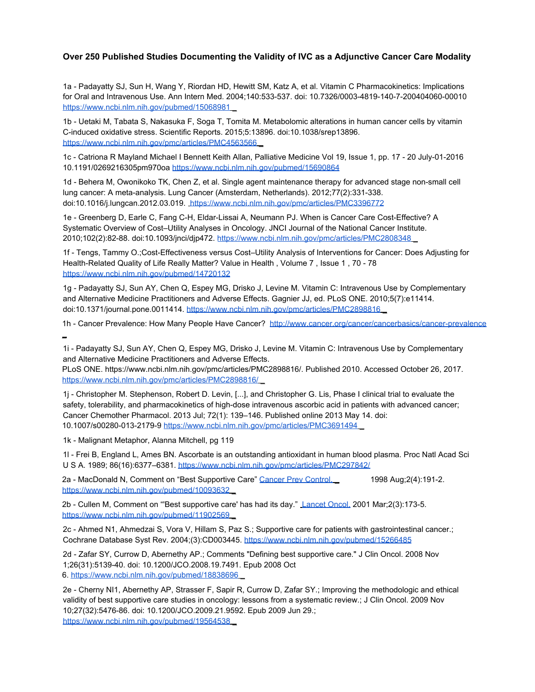## **Over 250 Published Studies Documenting the Validity of IVC as a Adjunctive Cancer Care Modality**

1a - Padayatty SJ, Sun H, Wang Y, Riordan HD, Hewitt SM, Katz A, et al. Vitamin C Pharmacokinetics: Implications for Oral and Intravenous Use. Ann Intern Med. 2004;140:533-537. doi: 10.7326/0003-4819-140-7-200404060-00010 https://www.ncbi.nlm.nih.gov/pubmed/15068981

1b - Uetaki M, Tabata S, Nakasuka F, Soga T, Tomita M. Metabolomic alterations in human cancer cells by vitamin C-induced oxidative stress. Scientific Reports. 2015;5:13896. doi:10.1038/srep13896. https://www.ncbi.nlm.nih.gov/pmc/articles/PMC4563566

1c - Catriona R Mayland Michael I Bennett Keith Allan, Palliative Medicine Vol 19, Issue 1, pp. 17 - 20 July-01-2016 10.1191/0269216305pm970oa https://www.ncbi.nlm.nih.gov/pubmed/15690864

1d - Behera M, Owonikoko TK, Chen Z, et al. Single agent maintenance therapy for advanced stage non-small cell lung cancer: A meta-analysis. Lung Cancer (Amsterdam, Netherlands). 2012;77(2):331-338. doi:10.1016/j.lungcan.2012.03.019. https://www.ncbi.nlm.nih.gov/pmc/articles/PMC3396772

1e - Greenberg D, Earle C, Fang C-H, Eldar-Lissai A, Neumann PJ. When is Cancer Care Cost-Effective? A Systematic Overview of Cost–Utility Analyses in Oncology. JNCI Journal of the National Cancer Institute. 2010;102(2):82-88. doi:10.1093/jnci/djp472. https://www.ncbi.nlm.nih.gov/pmc/articles/PMC2808348 \_

1f - Tengs, Tammy O.;Cost-Effectiveness versus Cost–Utility Analysis of Interventions for Cancer: Does Adjusting for Health-Related Quality of Life Really Matter? Value in Health , Volume 7 , Issue 1 , 70 - 78 https://www.ncbi.nlm.nih.gov/pubmed/14720132

1g - Padayatty SJ, Sun AY, Chen Q, Espey MG, Drisko J, Levine M. Vitamin C: Intravenous Use by Complementary and Alternative Medicine Practitioners and Adverse Effects. Gagnier JJ, ed. PLoS ONE. 2010;5(7):e11414. doi:10.1371/journal.pone.0011414. https://www.ncbi.nlm.nih.gov/pmc/articles/PMC2898816

1h - Cancer Prevalence: How Many People Have Cancer? http://www.cancer.org/cancer/cancerbasics/cancer-prevalence \_

1i - Padayatty SJ, Sun AY, Chen Q, Espey MG, Drisko J, Levine M. Vitamin C: Intravenous Use by Complementary and Alternative Medicine Practitioners and Adverse Effects.

PLoS ONE. https://www.ncbi.nlm.nih.gov/pmc/articles/PMC2898816/. Published 2010. Accessed October 26, 2017. https://www.ncbi.nlm.nih.gov/pmc/articles/PMC2898816/

1j - Christopher M. Stephenson, Robert D. Levin, [...], and Christopher G. Lis, Phase I clinical trial to evaluate the safety, tolerability, and pharmacokinetics of high-dose intravenous ascorbic acid in patients with advanced cancer; Cancer Chemother Pharmacol. 2013 Jul; 72(1): 139–146. Published online 2013 May 14. doi: 10.1007/s00280-013-2179-9 https://www.ncbi.nlm.nih.gov/pmc/articles/PMC3691494 \_

1k - Malignant Metaphor, Alanna Mitchell, pg 119

1l - Frei B, England L, Ames BN. Ascorbate is an outstanding antioxidant in human blood plasma. Proc Natl Acad Sci U S A. 1989; 86(16):6377–6381. https://www.ncbi.nlm.nih.gov/pmc/articles/PMC297842/

2a - MacDonald N, Comment on "Best Supportive Care" Cancer Prey Control. 1998 Aug;2(4):191-2. https://www.ncbi.nlm.nih.gov/pubmed/10093632

2b - Cullen M, Comment on "'Best supportive care' has had its day." Lancet Oncol. 2001 Mar;2(3):173-5. https://www.ncbi.nlm.nih.gov/pubmed/11902569

2c - Ahmed N1, Ahmedzai S, Vora V, Hillam S, Paz S.; Supportive care for patients with gastrointestinal cancer.; Cochrane Database Syst Rev. 2004;(3):CD003445. https://www.ncbi.nlm.nih.gov/pubmed/15266485

2d - Zafar SY, Currow D, Abernethy AP.; Comments "Defining best supportive care." J Clin Oncol. 2008 Nov 1;26(31):5139-40. doi: 10.1200/JCO.2008.19.7491. Epub 2008 Oct 6. https://www.ncbi.nlm.nih.gov/pubmed/18838696 \_

2e - Cherny NI1, Abernethy AP, Strasser F, Sapir R, Currow D, Zafar SY.; Improving the methodologic and ethical validity of best supportive care studies in oncology: lessons from a systematic review.; J Clin Oncol. 2009 Nov 10;27(32):5476-86. doi: 10.1200/JCO.2009.21.9592. Epub 2009 Jun 29.; https://www.ncbi.nlm.nih.gov/pubmed/19564538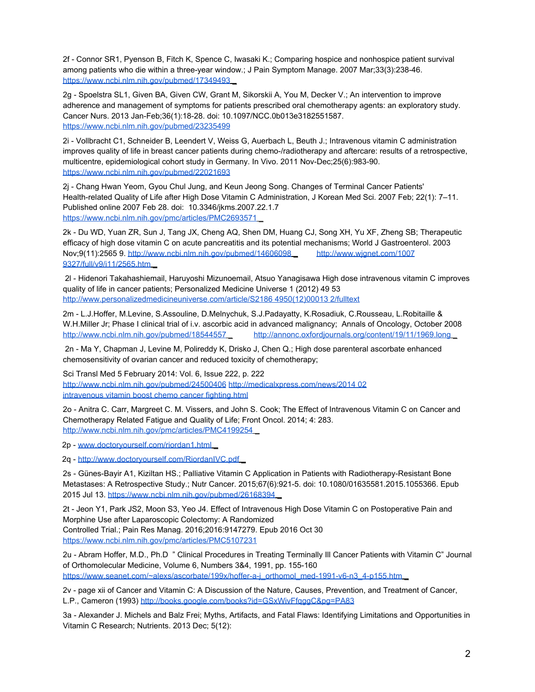2f - Connor SR1, Pyenson B, Fitch K, Spence C, Iwasaki K.; Comparing hospice and nonhospice patient survival among patients who die within a three-year window.; J Pain Symptom Manage. 2007 Mar;33(3):238-46. https://www.ncbi.nlm.nih.gov/pubmed/17349493

2g - Spoelstra SL1, Given BA, Given CW, Grant M, Sikorskii A, You M, Decker V.; An intervention to improve adherence and management of symptoms for patients prescribed oral chemotherapy agents: an exploratory study. Cancer Nurs. 2013 Jan-Feb;36(1):18-28. doi: 10.1097/NCC.0b013e3182551587. https://www.ncbi.nlm.nih.gov/pubmed/23235499

2i - Vollbracht C1, Schneider B, Leendert V, Weiss G, Auerbach L, Beuth J.; Intravenous vitamin C administration improves quality of life in breast cancer patients during chemo-/radiotherapy and aftercare: results of a retrospective, multicentre, epidemiological cohort study in Germany. In Vivo. 2011 Nov-Dec;25(6):983-90. https://www.ncbi.nlm.nih.gov/pubmed/22021693

2j - Chang Hwan Yeom, Gyou Chul Jung, and Keun Jeong Song. Changes of Terminal Cancer Patients' Health-related Quality of Life after High Dose Vitamin C Administration, J Korean Med Sci. 2007 Feb; 22(1): 7–11. Published online 2007 Feb 28. doi: 10.3346/jkms.2007.22.1.7 https://www.ncbi.nlm.nih.gov/pmc/articles/PMC2693571

2k - Du WD, Yuan ZR, Sun J, Tang JX, Cheng AQ, Shen DM, Huang CJ, Song XH, Yu XF, Zheng SB; Therapeutic efficacy of high dose vitamin C on acute pancreatitis and its potential mechanisms; World J Gastroenterol. 2003 Nov;9(11):2565 9. http://www.ncbi.nlm.nih.gov/pubmed/14606098 \_ http://www.wjgnet.com/1007 9327/full/v9/i11/2565.htm \_

 2l - Hidenori Takahashiemail, Haruyoshi Mizunoemail, Atsuo Yanagisawa High dose intravenous vitamin C improves quality of life in cancer patients; Personalized Medicine Universe 1 (2012) 49 53 http://www.personalizedmedicineuniverse.com/article/S2186 4950(12)00013 2/fulltext

2m - L.J.Hoffer, M.Levine, S.Assouline, D.Melnychuk, S.J.Padayatty, K.Rosadiuk, C.Rousseau, L.Robitaille & W.H.Miller Jr; Phase I clinical trial of i.v. ascorbic acid in advanced malignancy; Annals of Oncology, October 2008 http://www.ncbi.nlm.nih.gov/pubmed/18544557 http://annonc.oxfordiournals.org/content/19/11/1969.long

 2n - Ma Y, Chapman J, Levine M, Polireddy K, Drisko J, Chen Q.; High dose parenteral ascorbate enhanced chemosensitivity of ovarian cancer and reduced toxicity of chemotherapy;

Sci Transl Med 5 February 2014: Vol. 6, Issue 222, p. 222 http://www.ncbi.nlm.nih.gov/pubmed/24500406 http://medicalxpress.com/news/2014 02 intravenous vitamin boost chemo cancer fighting.html

2o - Anitra C. Carr, Margreet C. M. Vissers, and John S. Cook; The Effect of Intravenous Vitamin C on Cancer and Chemotherapy Related Fatigue and Quality of Life; Front Oncol. 2014; 4: 283. http://www.ncbi.nlm.nih.gov/pmc/articles/PMC4199254

2p - www.doctoryourself.com/riordan1.html \_

2q - http://www.doctoryourself.com/RiordanIVC.pdf \_

2s - Günes-Bayir A1, Kiziltan HS.; Palliative Vitamin C Application in Patients with Radiotherapy-Resistant Bone Metastases: A Retrospective Study.; Nutr Cancer. 2015;67(6):921-5. doi: 10.1080/01635581.2015.1055366. Epub 2015 Jul 13. https://www.ncbi.nlm.nih.gov/pubmed/26168394 \_

2t - Jeon Y1, Park JS2, Moon S3, Yeo J4. Effect of Intravenous High Dose Vitamin C on Postoperative Pain and Morphine Use after Laparoscopic Colectomy: A Randomized Controlled Trial.; Pain Res Manag. 2016;2016:9147279. Epub 2016 Oct 30 https://www.ncbi.nlm.nih.gov/pmc/articles/PMC5107231

2u - Abram Hoffer, M.D., Ph.D " Clinical Procedures in Treating Terminally Ill Cancer Patients with Vitamin C" Journal of Orthomolecular Medicine, Volume 6, Numbers 3&4, 1991, pp. 155-160 https://www.seanet.com/~alexs/ascorbate/199x/hoffer-a-j\_orthomol\_med-1991-v6-n3\_4-p155.htm

2v - page xii of Cancer and Vitamin C: A Discussion of the Nature, Causes, Prevention, and Treatment of Cancer, L.P., Cameron (1993) http://books.google.com/books?id=GSxWivFfqggC&pg=PA83

3a - Alexander J. Michels and Balz Frei; Myths, Artifacts, and Fatal Flaws: Identifying Limitations and Opportunities in Vitamin C Research; Nutrients. 2013 Dec; 5(12):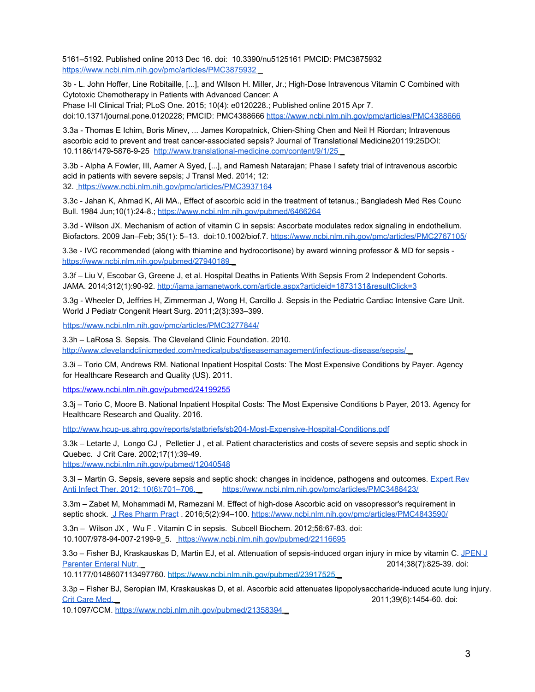5161–5192. Published online 2013 Dec 16. doi: 10.3390/nu5125161 PMCID: PMC3875932 https://www.ncbi.nlm.nih.gov/pmc/articles/PMC3875932 \_

3b - L. John Hoffer, Line Robitaille, [...], and Wilson H. Miller, Jr.; High-Dose Intravenous Vitamin C Combined with Cytotoxic Chemotherapy in Patients with Advanced Cancer: A

Phase I-II Clinical Trial; PLoS One. 2015; 10(4): e0120228.; Published online 2015 Apr 7. doi:10.1371/journal.pone.0120228; PMCID: PMC4388666 https://www.ncbi.nlm.nih.gov/pmc/articles/PMC4388666

3.3a - Thomas E Ichim, Boris Minev, ... James Koropatnick, Chien-Shing Chen and Neil H Riordan; Intravenous ascorbic acid to prevent and treat cancer-associated sepsis? Journal of Translational Medicine20119:25DOI: 10.1186/1479-5876-9-25 http://www.translational-medicine.com/content/9/1/25 \_

3.3b - Alpha A Fowler, III, Aamer A Syed, [...], and Ramesh Natarajan; Phase I safety trial of intravenous ascorbic acid in patients with severe sepsis; J Transl Med. 2014; 12: 32. https://www.ncbi.nlm.nih.gov/pmc/articles/PMC3937164

3.3c - Jahan K, Ahmad K, Ali MA., Effect of ascorbic acid in the treatment of tetanus.; Bangladesh Med Res Counc Bull. 1984 Jun;10(1):24-8.; https://www.ncbi.nlm.nih.gov/pubmed/6466264

3.3d - Wilson JX. Mechanism of action of vitamin C in sepsis: Ascorbate modulates redox signaling in endothelium. Biofactors. 2009 Jan–Feb; 35(1): 5–13. doi:10.1002/biof.7. https://www.ncbi.nlm.nih.gov/pmc/articles/PMC2767105/

3.3e - IVC recommended (along with thiamine and hydrocortisone) by award winning professor & MD for sepsis https://www.ncbi.nlm.nih.gov/pubmed/27940189

3.3f – Liu V, Escobar G, Greene J, et al. Hospital Deaths in Patients With Sepsis From 2 Independent Cohorts. JAMA. 2014;312(1):90-92. http://jama.jamanetwork.com/article.aspx?articleid=1873131&resultClick=3

3.3g - Wheeler D, Jeffries H, Zimmerman J, Wong H, Carcillo J. Sepsis in the Pediatric Cardiac Intensive Care Unit. World J Pediatr Congenit Heart Surg. 2011;2(3):393–399.

https://www.ncbi.nlm.nih.gov/pmc/articles/PMC3277844/

3.3h – LaRosa S. Sepsis. The Cleveland Clinic Foundation. 2010. http://www.clevelandclinicmeded.com/medicalpubs/diseasemanagement/infectious-disease/sepsis/ \_

3.3i – Torio CM, Andrews RM. National Inpatient Hospital Costs: The Most Expensive Conditions by Payer. Agency for Healthcare Research and Quality (US). 2011.

https://www.ncbi.nlm.nih.gov/pubmed/24199255

3.3j – Torio C, Moore B. National Inpatient Hospital Costs: The Most Expensive Conditions b Payer, 2013. Agency for Healthcare Research and Quality. 2016.

http://www.hcup-us.ahrq.gov/reports/statbriefs/sb204-Most-Expensive-Hospital-Conditions.pdf

3.3k – Letarte J, Longo CJ , Pelletier J , et al. Patient characteristics and costs of severe sepsis and septic shock in Quebec. J Crit Care. 2002;17(1):39-49.

https://www.ncbi.nlm.nih.gov/pubmed/12040548

3.3l – Martin G. Sepsis, severe sepsis and septic shock: changes in incidence, pathogens and outcomes. Expert Rev Anti Infect Ther. 2012: 10(6):701-706. https://www.ncbi.nlm.nih.gov/pmc/articles/PMC3488423/

3.3m – Zabet M, Mohammadi M, Ramezani M. Effect of high-dose Ascorbic acid on vasopressor's requirement in septic shock. J Res Pharm Pract . 2016;5(2):94-100. https://www.ncbi.nlm.nih.gov/pmc/articles/PMC4843590/

3.3n – Wilson JX , Wu F . Vitamin C in sepsis. Subcell Biochem. 2012;56:67-83. doi: 10.1007/978-94-007-2199-9\_5. https://www.ncbi.nlm.nih.gov/pubmed/22116695

3.3o – Fisher BJ, Kraskauskas D, Martin EJ, et al. Attenuation of sepsis-induced organ injury in mice by vitamin C. JPEN J Parenter Enteral Nutr. Letter 2014;38(7):825-39. doi:

10.1177/0148607113497760. https://www.ncbi.nlm.nih.gov/pubmed/23917525 \_

3.3p – Fisher BJ, Seropian IM, Kraskauskas D, et al. Ascorbic acid attenuates lipopolysaccharide-induced acute lung injury. Crit Care Med. \_ 2011;39(6):1454-60. doi:

10.1097/CCM. https://www.ncbi.nlm.nih.gov/pubmed/21358394 \_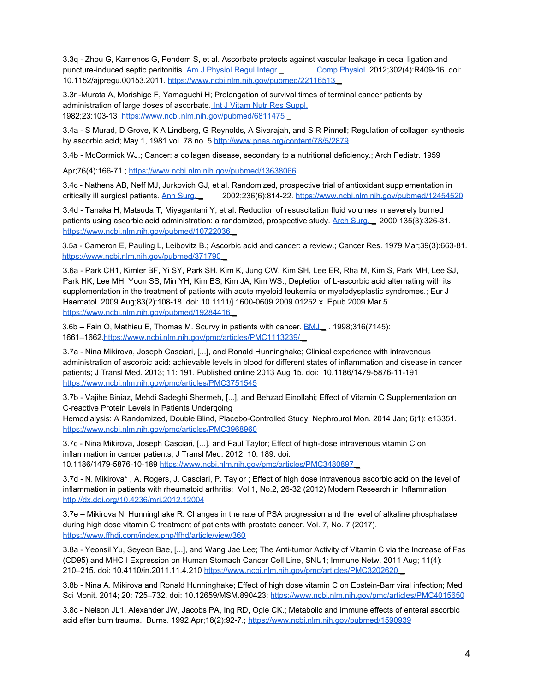3.3q - Zhou G, Kamenos G, Pendem S, et al. Ascorbate protects against vascular leakage in cecal ligation and puncture-induced septic peritonitis. Am J Physiol Regul Integr Comp Physiol. 2012;302(4):R409-16. doi: 10.1152/ajpregu.00153.2011. https://www.ncbi.nlm.nih.gov/pubmed/22116513 \_

3.3r -Murata A, Morishige F, Yamaguchi H; Prolongation of survival times of terminal cancer patients by administration of large doses of ascorbate. Int J Vitam Nutr Res Suppl. 1982;23:103-13 https://www.ncbi.nlm.nih.gov/pubmed/6811475 \_

3.4a - S Murad, D Grove, K A Lindberg, G Reynolds, A Sivarajah, and S R Pinnell; Regulation of collagen synthesis by ascorbic acid; May 1, 1981 vol. 78 no. 5 http://www.pnas.org/content/78/5/2879

3.4b - McCormick WJ.; Cancer: a collagen disease, secondary to a nutritional deficiency.; Arch Pediatr. 1959

Apr;76(4):166-71.; https://www.ncbi.nlm.nih.gov/pubmed/13638066

3.4c - Nathens AB, Neff MJ, Jurkovich GJ, et al. Randomized, prospective trial of antioxidant supplementation in critically ill surgical patients. Ann Surg. \_ 2002;236(6):814-22. https://www.ncbi.nlm.nih.gov/pubmed/12454520

3.4d - Tanaka H, Matsuda T, Miyagantani Y, et al. Reduction of resuscitation fluid volumes in severely burned patients using ascorbic acid administration: a randomized, prospective study. Arch Surg. 2000;135(3):326-31. https://www.ncbi.nlm.nih.gov/pubmed/10722036

3.5a - Cameron E, Pauling L, Leibovitz B.; Ascorbic acid and cancer: a review.; Cancer Res. 1979 Mar;39(3):663-81. https://www.ncbi.nlm.nih.gov/pubmed/371790

3.6a - Park CH1, Kimler BF, Yi SY, Park SH, Kim K, Jung CW, Kim SH, Lee ER, Rha M, Kim S, Park MH, Lee SJ, Park HK, Lee MH, Yoon SS, Min YH, Kim BS, Kim JA, Kim WS.; Depletion of L-ascorbic acid alternating with its supplementation in the treatment of patients with acute myeloid leukemia or myelodysplastic syndromes.; Eur J Haematol. 2009 Aug;83(2):108-18. doi: 10.1111/j.1600-0609.2009.01252.x. Epub 2009 Mar 5. https://www.ncbi.nlm.nih.gov/pubmed/19284416 \_

3.6b – Fain O, Mathieu E, Thomas M. Scurvy in patients with cancer. **BMJ** . 1998;316(7145): 1661–1662.https://www.ncbi.nlm.nih.gov/pmc/articles/PMC1113239/ \_

3.7a - Nina Mikirova, Joseph Casciari, [...], and Ronald Hunninghake; Clinical experience with intravenous administration of ascorbic acid: achievable levels in blood for different states of inflammation and disease in cancer patients; J Transl Med. 2013; 11: 191. Published online 2013 Aug 15. doi: 10.1186/1479-5876-11-191 https://www.ncbi.nlm.nih.gov/pmc/articles/PMC3751545

3.7b - Vajihe Biniaz, Mehdi Sadeghi Shermeh, [...], and Behzad Einollahi; Effect of Vitamin C Supplementation on C-reactive Protein Levels in Patients Undergoing

Hemodialysis: A Randomized, Double Blind, Placebo-Controlled Study; Nephrourol Mon. 2014 Jan; 6(1): e13351. https://www.ncbi.nlm.nih.gov/pmc/articles/PMC3968960

3.7c - Nina Mikirova, Joseph Casciari, [...], and Paul Taylor; Effect of high-dose intravenous vitamin C on inflammation in cancer patients; J Transl Med. 2012; 10: 189. doi: 10.1186/1479-5876-10-189 https://www.ncbi.nlm.nih.gov/pmc/articles/PMC3480897 \_

3.7d - N. Mikirova\* , A. Rogers, J. Casciari, P. Taylor ; Effect of high dose intravenous ascorbic acid on the level of inflammation in patients with rheumatoid arthritis; Vol.1, No.2, 26-32 (2012) Modern Research in Inflammation http://dx.doi.org/10.4236/mri.2012.12004

3.7e – Mikirova N, Hunninghake R. Changes in the rate of PSA progression and the level of alkaline phosphatase during high dose vitamin C treatment of patients with prostate cancer. Vol. 7, No. 7 (2017). https://www.ffhdj.com/index.php/ffhd/article/view/360

3.8a - Yeonsil Yu, Seyeon Bae, [...], and Wang Jae Lee; The Anti-tumor Activity of Vitamin C via the Increase of Fas (CD95) and MHC I Expression on Human Stomach Cancer Cell Line, SNU1; Immune Netw. 2011 Aug; 11(4): 210–215. doi: 10.4110/in.2011.11.4.210 https://www.ncbi.nlm.nih.gov/pmc/articles/PMC3202620 \_

3.8b - Nina A. Mikirova and Ronald Hunninghake; Effect of high dose vitamin C on Epstein-Barr viral infection; Med Sci Monit. 2014; 20: 725–732. doi: 10.12659/MSM.890423; https://www.ncbi.nlm.nih.gov/pmc/articles/PMC4015650

3.8c - Nelson JL1, Alexander JW, Jacobs PA, Ing RD, Ogle CK.; Metabolic and immune effects of enteral ascorbic acid after burn trauma.; Burns. 1992 Apr;18(2):92-7.; https://www.ncbi.nlm.nih.gov/pubmed/1590939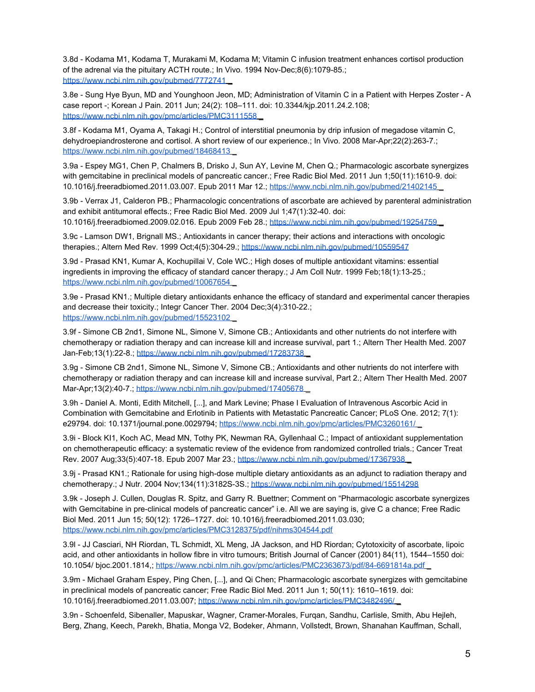3.8d - Kodama M1, Kodama T, Murakami M, Kodama M; Vitamin C infusion treatment enhances cortisol production of the adrenal via the pituitary ACTH route.; In Vivo. 1994 Nov-Dec;8(6):1079-85.; https://www.ncbi.nlm.nih.gov/pubmed/7772741

3.8e - Sung Hye Byun, MD and Younghoon Jeon, MD; Administration of Vitamin C in a Patient with Herpes Zoster - A case report -; Korean J Pain. 2011 Jun; 24(2): 108–111. doi: 10.3344/kjp.2011.24.2.108; https://www.ncbi.nlm.nih.gov/pmc/articles/PMC3111558

3.8f - Kodama M1, Oyama A, Takagi H.; Control of interstitial pneumonia by drip infusion of megadose vitamin C, dehydroepiandrosterone and cortisol. A short review of our experience.; In Vivo. 2008 Mar-Apr;22(2):263-7.; https://www.ncbi.nlm.nih.gov/pubmed/18468413

3.9a - Espey MG1, Chen P, Chalmers B, Drisko J, Sun AY, Levine M, Chen Q.; Pharmacologic ascorbate synergizes with gemcitabine in preclinical models of pancreatic cancer.; Free Radic Biol Med. 2011 Jun 1;50(11):1610-9. doi: 10.1016/j.freeradbiomed.2011.03.007. Epub 2011 Mar 12.; https://www.ncbi.nlm.nih.gov/pubmed/21402145 \_

3.9b - Verrax J1, Calderon PB.; Pharmacologic concentrations of ascorbate are achieved by parenteral administration and exhibit antitumoral effects.; Free Radic Biol Med. 2009 Jul 1;47(1):32-40. doi:

10.1016/j.freeradbiomed.2009.02.016. Epub 2009 Feb 28.; https://www.ncbi.nlm.nih.gov/pubmed/19254759

3.9c - Lamson DW1, Brignall MS.; Antioxidants in cancer therapy; their actions and interactions with oncologic therapies.; Altern Med Rev. 1999 Oct;4(5):304-29.; https://www.ncbi.nlm.nih.gov/pubmed/10559547

3.9d - Prasad KN1, Kumar A, Kochupillai V, Cole WC.; High doses of multiple antioxidant vitamins: essential ingredients in improving the efficacy of standard cancer therapy.; J Am Coll Nutr. 1999 Feb;18(1):13-25.; https://www.ncbi.nlm.nih.gov/pubmed/10067654

3.9e - Prasad KN1.; Multiple dietary antioxidants enhance the efficacy of standard and experimental cancer therapies and decrease their toxicity.; Integr Cancer Ther. 2004 Dec;3(4):310-22.; https://www.ncbi.nlm.nih.gov/pubmed/15523102 \_

3.9f - Simone CB 2nd1, Simone NL, Simone V, Simone CB.; Antioxidants and other nutrients do not interfere with chemotherapy or radiation therapy and can increase kill and increase survival, part 1.; Altern Ther Health Med. 2007 Jan-Feb;13(1):22-8.; https://www.ncbi.nlm.nih.gov/pubmed/17283738

3.9g - Simone CB 2nd1, Simone NL, Simone V, Simone CB.; Antioxidants and other nutrients do not interfere with chemotherapy or radiation therapy and can increase kill and increase survival, Part 2.; Altern Ther Health Med. 2007 Mar-Apr;13(2):40-7.; https://www.ncbi.nlm.nih.gov/pubmed/17405678 \_

3.9h - Daniel A. Monti, Edith Mitchell, [...], and Mark Levine; Phase I Evaluation of Intravenous Ascorbic Acid in Combination with Gemcitabine and Erlotinib in Patients with Metastatic Pancreatic Cancer; PLoS One. 2012; 7(1): e29794. doi: 10.1371/journal.pone.0029794; https://www.ncbi.nlm.nih.gov/pmc/articles/PMC3260161/

3.9i - Block KI1, Koch AC, Mead MN, Tothy PK, Newman RA, Gyllenhaal C.; Impact of antioxidant supplementation on chemotherapeutic efficacy: a systematic review of the evidence from randomized controlled trials.; Cancer Treat Rev. 2007 Aug;33(5):407-18. Epub 2007 Mar 23.; https://www.ncbi.nlm.nih.gov/pubmed/17367938 \_

3.9j - Prasad KN1.; Rationale for using high-dose multiple dietary antioxidants as an adjunct to radiation therapy and chemotherapy.; J Nutr. 2004 Nov;134(11):3182S-3S.; https://www.ncbi.nlm.nih.gov/pubmed/15514298

3.9k - Joseph J. Cullen, Douglas R. Spitz, and Garry R. Buettner; Comment on "Pharmacologic ascorbate synergizes with Gemcitabine in pre-clinical models of pancreatic cancer" i.e. All we are saying is, give C a chance; Free Radic Biol Med. 2011 Jun 15; 50(12): 1726–1727. doi: 10.1016/j.freeradbiomed.2011.03.030; https://www.ncbi.nlm.nih.gov/pmc/articles/PMC3128375/pdf/nihms304544.pdf

3.9l - JJ Casciari, NH Riordan, TL Schmidt, XL Meng, JA Jackson, and HD Riordan; Cytotoxicity of ascorbate, lipoic acid, and other antioxidants in hollow fibre in vitro tumours; British Journal of Cancer (2001) 84(11), 1544–1550 doi: 10.1054/ bjoc.2001.1814,; https://www.ncbi.nlm.nih.gov/pmc/articles/PMC2363673/pdf/84-6691814a.pdf \_

3.9m - Michael Graham Espey, Ping Chen, [...], and Qi Chen; Pharmacologic ascorbate synergizes with gemcitabine in preclinical models of pancreatic cancer; Free Radic Biol Med. 2011 Jun 1; 50(11): 1610–1619. doi: 10.1016/j.freeradbiomed.2011.03.007; https://www.ncbi.nlm.nih.gov/pmc/articles/PMC3482496/ \_

3.9n - Schoenfeld, Sibenaller, Mapuskar, Wagner, Cramer-Morales, Furqan, Sandhu, Carlisle, Smith, Abu Hejleh, Berg, Zhang, Keech, Parekh, Bhatia, Monga V2, Bodeker, Ahmann, Vollstedt, Brown, Shanahan Kauffman, Schall,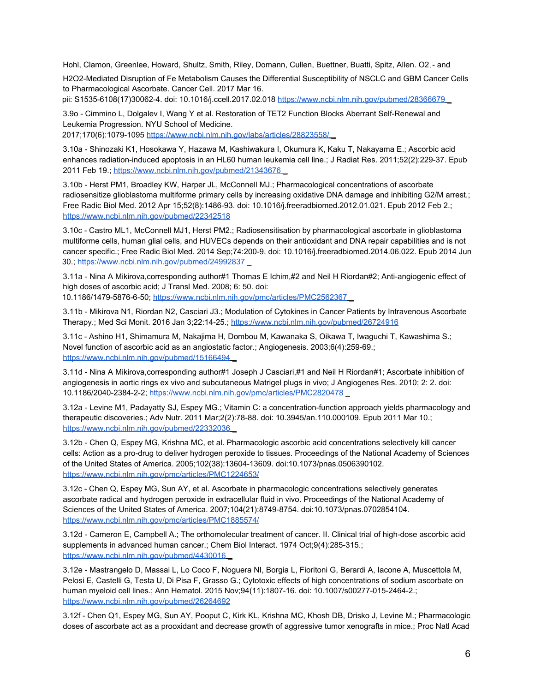Hohl, Clamon, Greenlee, Howard, Shultz, Smith, Riley, Domann, Cullen, Buettner, Buatti, Spitz, Allen. O2 - and

H2O2-Mediated Disruption of Fe Metabolism Causes the Differential Susceptibility of NSCLC and GBM Cancer Cells to Pharmacological Ascorbate. Cancer Cell. 2017 Mar 16.

pii: S1535-6108(17)30062-4. doi: 10.1016/j.ccell.2017.02.018 https://www.ncbi.nlm.nih.gov/pubmed/28366679

3.9o - Cimmino L, Dolgalev I, Wang Y et al. Restoration of TET2 Function Blocks Aberrant Self-Renewal and Leukemia Progression. NYU School of Medicine.

2017;170(6):1079-1095 https://www.ncbi.nlm.nih.gov/labs/articles/28823558/

3.10a - Shinozaki K1, Hosokawa Y, Hazawa M, Kashiwakura I, Okumura K, Kaku T, Nakayama E.; Ascorbic acid enhances radiation-induced apoptosis in an HL60 human leukemia cell line.; J Radiat Res. 2011;52(2):229-37. Epub 2011 Feb 19.; https://www.ncbi.nlm.nih.gov/pubmed/21343676 \_

3.10b - Herst PM1, Broadley KW, Harper JL, McConnell MJ.; Pharmacological concentrations of ascorbate radiosensitize glioblastoma multiforme primary cells by increasing oxidative DNA damage and inhibiting G2/M arrest.; Free Radic Biol Med. 2012 Apr 15;52(8):1486-93. doi: 10.1016/j.freeradbiomed.2012.01.021. Epub 2012 Feb 2.; https://www.ncbi.nlm.nih.gov/pubmed/22342518

3.10c - Castro ML1, McConnell MJ1, Herst PM2.; Radiosensitisation by pharmacological ascorbate in glioblastoma multiforme cells, human glial cells, and HUVECs depends on their antioxidant and DNA repair capabilities and is not cancer specific.; Free Radic Biol Med. 2014 Sep;74:200-9. doi: 10.1016/j.freeradbiomed.2014.06.022. Epub 2014 Jun 30.; https://www.ncbi.nlm.nih.gov/pubmed/24992837 \_

3.11a - Nina A Mikirova,corresponding author#1 Thomas E Ichim,#2 and Neil H Riordan#2; Anti-angiogenic effect of high doses of ascorbic acid; J Transl Med. 2008; 6: 50. doi:

10.1186/1479-5876-6-50; https://www.ncbi.nlm.nih.gov/pmc/articles/PMC2562367 \_

3.11b - Mikirova N1, Riordan N2, Casciari J3.; Modulation of Cytokines in Cancer Patients by Intravenous Ascorbate Therapy.; Med Sci Monit. 2016 Jan 3;22:14-25.; https://www.ncbi.nlm.nih.gov/pubmed/26724916

3.11c - Ashino H1, Shimamura M, Nakajima H, Dombou M, Kawanaka S, Oikawa T, Iwaguchi T, Kawashima S.; Novel function of ascorbic acid as an angiostatic factor.; Angiogenesis. 2003;6(4):259-69.; https://www.ncbi.nlm.nih.gov/pubmed/15166494 \_

3.11d - Nina A Mikirova,corresponding author#1 Joseph J Casciari,#1 and Neil H Riordan#1; Ascorbate inhibition of angiogenesis in aortic rings ex vivo and subcutaneous Matrigel plugs in vivo; J Angiogenes Res. 2010; 2: 2. doi: 10.1186/2040-2384-2-2; https://www.ncbi.nlm.nih.gov/pmc/articles/PMC2820478 \_

3.12a - Levine M1, Padayatty SJ, Espey MG.; Vitamin C: a concentration-function approach yields pharmacology and therapeutic discoveries.; Adv Nutr. 2011 Mar;2(2):78-88. doi: 10.3945/an.110.000109. Epub 2011 Mar 10.; https://www.ncbi.nlm.nih.gov/pubmed/22332036 \_

3.12b - Chen Q, Espey MG, Krishna MC, et al. Pharmacologic ascorbic acid concentrations selectively kill cancer cells: Action as a pro-drug to deliver hydrogen peroxide to tissues. Proceedings of the National Academy of Sciences of the United States of America. 2005;102(38):13604-13609. doi:10.1073/pnas.0506390102. https://www.ncbi.nlm.nih.gov/pmc/articles/PMC1224653/

3.12c - Chen Q, Espey MG, Sun AY, et al. Ascorbate in pharmacologic concentrations selectively generates ascorbate radical and hydrogen peroxide in extracellular fluid in vivo. Proceedings of the National Academy of Sciences of the United States of America. 2007;104(21):8749-8754. doi:10.1073/pnas.0702854104. https://www.ncbi.nlm.nih.gov/pmc/articles/PMC1885574/

3.12d - Cameron E, Campbell A.; The orthomolecular treatment of cancer. II. Clinical trial of high-dose ascorbic acid supplements in advanced human cancer.; Chem Biol Interact. 1974 Oct;9(4):285-315.; https://www.ncbi.nlm.nih.gov/pubmed/4430016

3.12e - Mastrangelo D, Massai L, Lo Coco F, Noguera NI, Borgia L, Fioritoni G, Berardi A, Iacone A, Muscettola M, Pelosi E, Castelli G, Testa U, Di Pisa F, Grasso G.; Cytotoxic effects of high concentrations of sodium ascorbate on human myeloid cell lines.; Ann Hematol. 2015 Nov;94(11):1807-16. doi: 10.1007/s00277-015-2464-2.; https://www.ncbi.nlm.nih.gov/pubmed/26264692

3.12f - Chen Q1, Espey MG, Sun AY, Pooput C, Kirk KL, Krishna MC, Khosh DB, Drisko J, Levine M.; Pharmacologic doses of ascorbate act as a prooxidant and decrease growth of aggressive tumor xenografts in mice.; Proc Natl Acad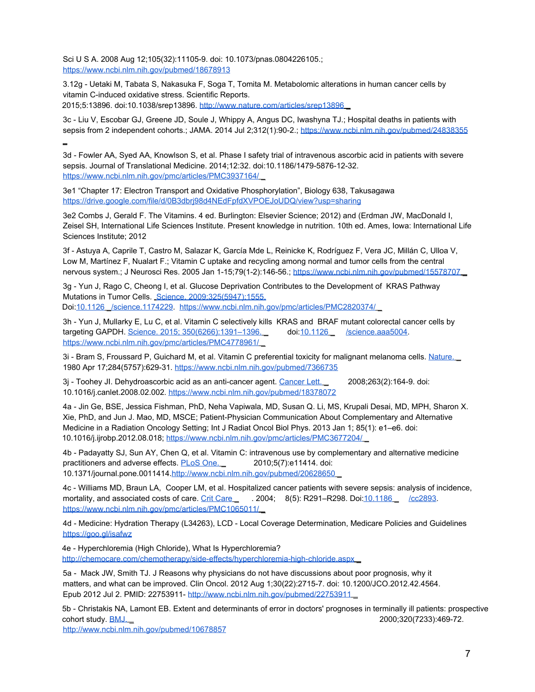Sci U S A. 2008 Aug 12;105(32):11105-9. doi: 10.1073/pnas.0804226105.; https://www.ncbi.nlm.nih.gov/pubmed/18678913

3.12g - Uetaki M, Tabata S, Nakasuka F, Soga T, Tomita M. Metabolomic alterations in human cancer cells by vitamin C-induced oxidative stress. Scientific Reports. 2015;5:13896. doi:10.1038/srep13896. http://www.nature.com/articles/srep13896 \_

3c - Liu V, Escobar GJ, Greene JD, Soule J, Whippy A, Angus DC, Iwashyna TJ.; Hospital deaths in patients with sepsis from 2 independent cohorts.; JAMA. 2014 Jul 2;312(1):90-2.; https://www.ncbi.nlm.nih.gov/pubmed/24838355 \_

3d - Fowler AA, Syed AA, Knowlson S, et al. Phase I safety trial of intravenous ascorbic acid in patients with severe sepsis. Journal of Translational Medicine. 2014;12:32. doi:10.1186/1479-5876-12-32. https://www.ncbi.nlm.nih.gov/pmc/articles/PMC3937164/ \_

3e1 "Chapter 17: Electron Transport and Oxidative Phosphorylation", Biology 638, Takusagawa https://drive.google.com/file/d/0B3dbrj98d4NEdFpfdXVPOEJoUDQ/view?usp=sharing

3e2 Combs J, Gerald F. The Vitamins. 4 ed. Burlington: Elsevier Science; 2012) and (Erdman JW, MacDonald I, Zeisel SH, International Life Sciences Institute. Present knowledge in nutrition. 10th ed. Ames, Iowa: International Life Sciences Institute; 2012

3f - Astuya A, Caprile T, Castro M, Salazar K, García Mde L, Reinicke K, Rodríguez F, Vera JC, Millán C, Ulloa V, Low M, Martínez F, Nualart F.; Vitamin C uptake and recycling among normal and tumor cells from the central nervous system.; J Neurosci Res. 2005 Jan 1-15;79(1-2):146-56.; https://www.ncbi.nlm.nih.gov/pubmed/15578707

3g - Yun J, Rago C, Cheong I, et al. Glucose Deprivation Contributes to the Development of KRAS Pathway Mutations in Tumor Cells. Science. 2009;325(5947):1555.

Doi:10.1126 \_/science.1174229. https://www.ncbi.nlm.nih.gov/pmc/articles/PMC2820374/ \_

3h - Yun J, Mullarky E, Lu C, et al. Vitamin C selectively kills KRAS and BRAF mutant colorectal cancer cells by targeting GAPDH. Science. 2015; 350(6266):1391–1396. \_ doi:10.1126 \_ /science.aaa5004. https://www.ncbi.nlm.nih.gov/pmc/articles/PMC4778961/

3i - Bram S, Froussard P, Guichard M, et al. Vitamin C preferential toxicity for malignant melanoma cells. Nature. 1980 Apr 17;284(5757):629-31. https://www.ncbi.nlm.nih.gov/pubmed/7366735

3j - Toohey Jl. Dehydroascorbic acid as an anti-cancer agent. Cancer Lett. 2008;263(2):164-9. doi: 10.1016/j.canlet.2008.02.002. https://www.ncbi.nlm.nih.gov/pubmed/18378072

4a - Jin Ge, BSE, Jessica Fishman, PhD, Neha Vapiwala, MD, Susan Q. Li, MS, Krupali Desai, MD, MPH, Sharon X. Xie, PhD, and Jun J. Mao, MD, MSCE; Patient-Physician Communication About Complementary and Alternative Medicine in a Radiation Oncology Setting; Int J Radiat Oncol Biol Phys. 2013 Jan 1; 85(1): e1–e6. doi: 10.1016/j.ijrobp.2012.08.018; https://www.ncbi.nlm.nih.gov/pmc/articles/PMC3677204/ \_

4b - Padayatty SJ, Sun AY, Chen Q, et al. Vitamin C: intravenous use by complementary and alternative medicine practitioners and adverse effects. PLoS One. 2010;5(7):e11414. doi: 10.1371/journal.pone.0011414.http://www.ncbi.nlm.nih.gov/pubmed/20628650 \_

4c - Williams MD, Braun LA, Cooper LM, et al. Hospitalized cancer patients with severe sepsis: analysis of incidence, mortality, and associated costs of care. Crit Care \_\_ . 2004; 8(5): R291-R298. Doi:10.1186 \_\_ /cc2893. https://www.ncbi.nlm.nih.gov/pmc/articles/PMC1065011/ \_

4d - Medicine: Hydration Therapy (L34263), LCD - Local Coverage Determination, Medicare Policies and Guidelines https://goo.gl/isafwz

4e - Hyperchloremia (High Chloride), What Is Hyperchloremia? http://chemocare.com/chemotherapy/side-effects/hyperchloremia-high-chloride.aspx

5a - Mack JW, Smith TJ. J Reasons why physicians do not have discussions about poor prognosis, why it matters, and what can be improved. Clin Oncol. 2012 Aug 1;30(22):2715-7. doi: 10.1200/JCO.2012.42.4564. Epub 2012 Jul 2. PMID: 22753911- http://www.ncbi.nlm.nih.gov/pubmed/22753911 \_

5b - Christakis NA, Lamont EB. Extent and determinants of error in doctors' prognoses in terminally ill patients: prospective cohort study. BMJ. \_ 2000;320(7233):469-72.

http://www.ncbi.nlm.nih.gov/pubmed/10678857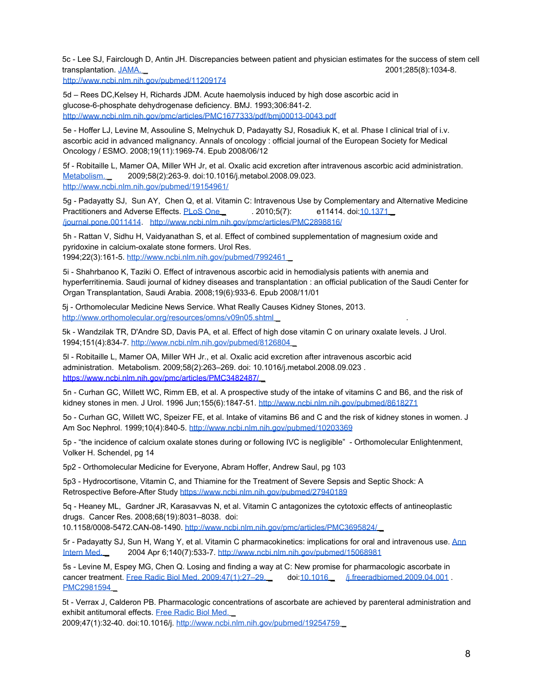5c - Lee SJ, Fairclough D, Antin JH. Discrepancies between patient and physician estimates for the success of stem cell transplantation. JAMA. \_ 2001;285(8):1034-8.

http://www.ncbi.nlm.nih.gov/pubmed/11209174

5d – Rees DC,Kelsey H, Richards JDM. Acute haemolysis induced by high dose ascorbic acid in glucose-6-phosphate dehydrogenase deficiency. BMJ. 1993;306:841-2. http://www.ncbi.nlm.nih.gov/pmc/articles/PMC1677333/pdf/bmj00013-0043.pdf

5e - Hoffer LJ, Levine M, Assouline S, Melnychuk D, Padayatty SJ, Rosadiuk K, et al. Phase I clinical trial of i.v. ascorbic acid in advanced malignancy. Annals of oncology : official journal of the European Society for Medical Oncology / ESMO. 2008;19(11):1969-74. Epub 2008/06/12

5f - Robitaille L, Mamer OA, Miller WH Jr, et al. Oxalic acid excretion after intravenous ascorbic acid administration. Metabolism. 2009;58(2):263-9. doi:10.1016/j.metabol.2008.09.023. http://www.ncbi.nlm.nih.gov/pubmed/19154961/

5g - Padayatty SJ, Sun AY, Chen Q, et al. Vitamin C: Intravenous Use by Complementary and Alternative Medicine Practitioners and Adverse Effects. PLoS One 2010;5(7): e11414. doi:10.1371 /journal.pone.0011414. http://www.ncbi.nlm.nih.gov/pmc/articles/PMC2898816/

5h - Rattan V, Sidhu H, Vaidyanathan S, et al. Effect of combined supplementation of magnesium oxide and pyridoxine in calcium-oxalate stone formers. Urol Res. 1994;22(3):161-5. http://www.ncbi.nlm.nih.gov/pubmed/7992461 \_

5i - Shahrbanoo K, Taziki O. Effect of intravenous ascorbic acid in hemodialysis patients with anemia and hyperferritinemia. Saudi journal of kidney diseases and transplantation : an official publication of the Saudi Center for Organ Transplantation, Saudi Arabia. 2008;19(6):933-6. Epub 2008/11/01

5j - Orthomolecular Medicine News Service. What Really Causes Kidney Stones, 2013. http://www.orthomolecular.org/resources/omns/v09n05.shtml

5k - Wandzilak TR, D'Andre SD, Davis PA, et al. Effect of high dose vitamin C on urinary oxalate levels. J Urol. 1994;151(4):834-7. http://www.ncbi.nlm.nih.gov/pubmed/8126804 \_

5l - Robitaille L, Mamer OA, Miller WH Jr., et al. Oxalic acid excretion after intravenous ascorbic acid administration. Metabolism. 2009;58(2):263–269. doi: 10.1016/j.metabol.2008.09.023 . https://www.ncbi.nlm.nih.gov/pmc/articles/PMC3482487/ \_

5n - Curhan GC, Willett WC, Rimm EB, et al. A prospective study of the intake of vitamins C and B6, and the risk of kidney stones in men. J Urol. 1996 Jun;155(6):1847-51. http://www.ncbi.nlm.nih.gov/pubmed/8618271

5o - Curhan GC, Willett WC, Speizer FE, et al. Intake of vitamins B6 and C and the risk of kidney stones in women. J Am Soc Nephrol. 1999;10(4):840-5. http://www.ncbi.nlm.nih.gov/pubmed/10203369

5p - "the incidence of calcium oxalate stones during or following IVC is negligible" - Orthomolecular Enlightenment, Volker H. Schendel, pg 14

5p2 - Orthomolecular Medicine for Everyone, Abram Hoffer, Andrew Saul, pg 103

5p3 - Hydrocortisone, Vitamin C, and Thiamine for the Treatment of Severe Sepsis and Septic Shock: A Retrospective Before-After Study https://www.ncbi.nlm.nih.gov/pubmed/27940189

5q - Heaney ML, Gardner JR, Karasavvas N, et al. Vitamin C antagonizes the cytotoxic effects of antineoplastic drugs. Cancer Res. 2008;68(19):8031–8038. doi:

10.1158/0008-5472.CAN-08-1490. http://www.ncbi.nlm.nih.gov/pmc/articles/PMC3695824/ \_

5r - Padayatty SJ, Sun H, Wang Y, et al. Vitamin C pharmacokinetics: implications for oral and intravenous use. Ann Intern Med. \_ 2004 Apr 6;140(7):533-7. http://www.ncbi.nlm.nih.gov/pubmed/15068981

5s - Levine M, Espey MG, Chen Q. Losing and finding a way at C: New promise for pharmacologic ascorbate in cancer treatment. Free Radic Biol Med. 2009;47(1):27-29. \_ doi:10.1016 /i.freeradbiomed.2009.04.001 PMC2981594

5t - Verrax J, Calderon PB. Pharmacologic concentrations of ascorbate are achieved by parenteral administration and exhibit antitumoral effects. Free Radic Biol Med.

2009;47(1):32-40. doi:10.1016/j. http://www.ncbi.nlm.nih.gov/pubmed/19254759 \_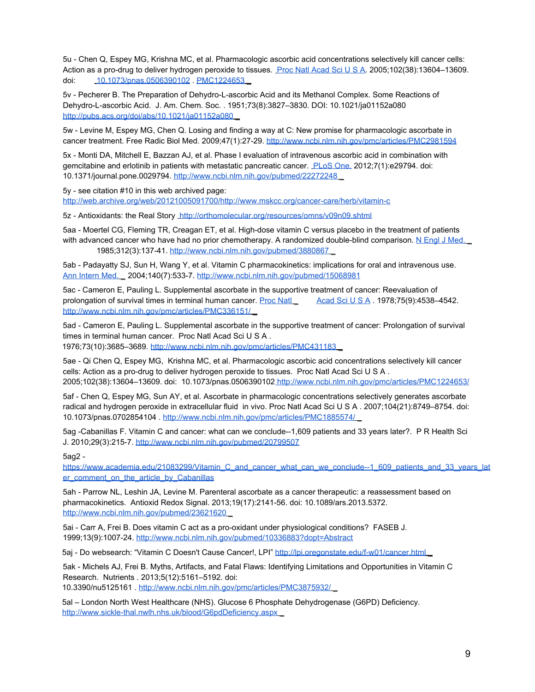5u - Chen Q, Espey MG, Krishna MC, et al. Pharmacologic ascorbic acid concentrations selectively kill cancer cells: Action as a pro-drug to deliver hydrogen peroxide to tissues. Proc Natl Acad Sci U S A. 2005;102(38):13604-13609. doi: 10.1073/pnas.0506390102 PMC1224653

5v - Pecherer B. The Preparation of Dehydro-L-ascorbic Acid and its Methanol Complex. Some Reactions of Dehydro-L-ascorbic Acid. J. Am. Chem. Soc. . 1951;73(8):3827–3830. DOI: 10.1021/ja01152a080 http://pubs.acs.org/doi/abs/10.1021/ja01152a080 \_

5w - Levine M, Espey MG, Chen Q. Losing and finding a way at C: New promise for pharmacologic ascorbate in cancer treatment. Free Radic Biol Med. 2009;47(1):27-29. http://www.ncbi.nlm.nih.gov/pmc/articles/PMC2981594

5x - Monti DA, Mitchell E, Bazzan AJ, et al. Phase I evaluation of intravenous ascorbic acid in combination with gemcitabine and erlotinib in patients with metastatic pancreatic cancer. PLoS One. 2012;7(1):e29794. doi: 10.1371/journal.pone.0029794. http://www.ncbi.nlm.nih.gov/pubmed/22272248 \_

5y - see citation #10 in this web archived page:

http://web.archive.org/web/20121005091700/http://www.mskcc.org/cancer-care/herb/vitamin-c

5z - Antioxidants: the Real Story http://orthomolecular.org/resources/omns/v09n09.shtml

5aa - Moertel CG, Fleming TR, Creagan ET, et al. High-dose vitamin C versus placebo in the treatment of patients with advanced cancer who have had no prior chemotherapy. A randomized double-blind comparison. N Engl J Med. 1985;312(3):137-41. http://www.ncbi.nlm.nih.gov/pubmed/3880867 \_

5ab - Padayatty SJ, Sun H, Wang Y, et al. Vitamin C pharmacokinetics: implications for oral and intravenous use. Ann Intern Med. \_ 2004;140(7):533-7. http://www.ncbi.nlm.nih.gov/pubmed/15068981

5ac - Cameron E, Pauling L. Supplemental ascorbate in the supportive treatment of cancer: Reevaluation of prolongation of survival times in terminal human cancer. Proc Natl Acad Sci U S A . 1978;75(9):4538-4542. http://www.ncbi.nlm.nih.gov/pmc/articles/PMC336151/ \_

5ad - Cameron E, Pauling L. Supplemental ascorbate in the supportive treatment of cancer: Prolongation of survival times in terminal human cancer. Proc Natl Acad Sci U S A . 1976;73(10):3685–3689. http://www.ncbi.nlm.nih.gov/pmc/articles/PMC431183 \_

5ae - Qi Chen Q, Espey MG, Krishna MC, et al. Pharmacologic ascorbic acid concentrations selectively kill cancer cells: Action as a pro-drug to deliver hydrogen peroxide to tissues. Proc Natl Acad Sci U S A . 2005;102(38):13604–13609. doi: 10.1073/pnas.0506390102 http://www.ncbi.nlm.nih.gov/pmc/articles/PMC1224653/

5af - Chen Q, Espey MG, Sun AY, et al. Ascorbate in pharmacologic concentrations selectively generates ascorbate radical and hydrogen peroxide in extracellular fluid in vivo. Proc Natl Acad Sci U S A . 2007;104(21):8749–8754. doi: 10.1073/pnas.0702854104 . http://www.ncbi.nlm.nih.gov/pmc/articles/PMC1885574/ \_

5ag -Cabanillas F. Vitamin C and cancer: what can we conclude--1,609 patients and 33 years later?. P R Health Sci J. 2010;29(3):215-7. http://www.ncbi.nlm.nih.gov/pubmed/20799507

5ag2 -

https://www.academia.edu/21083299/Vitamin\_C\_and\_cancer\_what\_can\_we\_conclude--1\_609\_patients\_and\_33\_years\_lat er\_comment\_on\_the\_article\_by\_Cabanillas

5ah - Parrow NL, Leshin JA, Levine M. Parenteral ascorbate as a cancer therapeutic: a reassessment based on pharmacokinetics. Antioxid Redox Signal. 2013;19(17):2141-56. doi: 10.1089/ars.2013.5372. http://www.ncbi.nlm.nih.gov/pubmed/23621620 \_

5ai - Carr A, Frei B. Does vitamin C act as a pro-oxidant under physiological conditions? FASEB J. 1999;13(9):1007-24. http://www.ncbi.nlm.nih.gov/pubmed/10336883?dopt=Abstract

5aj - Do websearch: "Vitamin C Doesn't Cause Cancer!, LPI" http://lpi.oregonstate.edu/f-w01/cancer.html

5ak - Michels AJ, Frei B. Myths, Artifacts, and Fatal Flaws: Identifying Limitations and Opportunities in Vitamin C Research. Nutrients . 2013;5(12):5161–5192. doi:

10.3390/nu5125161 . http://www.ncbi.nlm.nih.gov/pmc/articles/PMC3875932/ \_

5al – London North West Healthcare (NHS). Glucose 6 Phosphate Dehydrogenase (G6PD) Deficiency. http://www.sickle-thal.nwlh.nhs.uk/blood/G6pdDeficiency.aspx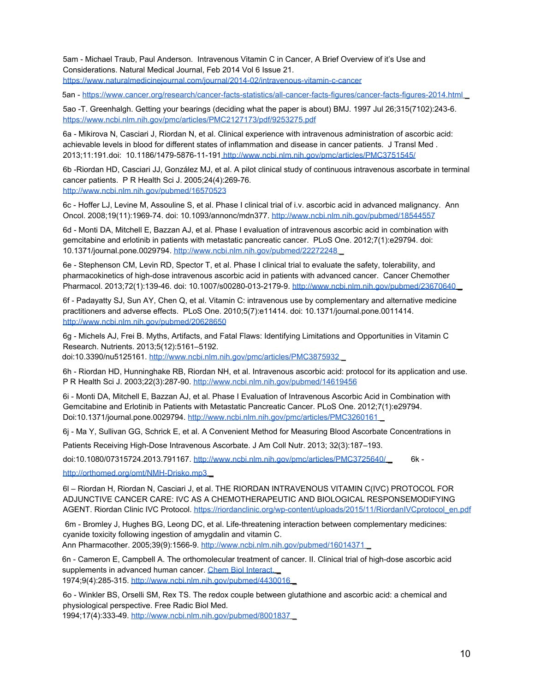5am - Michael Traub, Paul Anderson. Intravenous Vitamin C in Cancer, A Brief Overview of it's Use and Considerations. Natural Medical Journal, Feb 2014 Vol 6 Issue 21. https://www.naturalmedicinejournal.com/journal/2014-02/intravenous-vitamin-c-cancer

5an - https://www.cancer.org/research/cancer-facts-statistics/all-cancer-facts-figures/cancer-facts-figures-2014.html \_

5ao -T. Greenhalgh. Getting your bearings (deciding what the paper is about) BMJ. 1997 Jul 26;315(7102):243-6. https://www.ncbi.nlm.nih.gov/pmc/articles/PMC2127173/pdf/9253275.pdf

6a - Mikirova N, Casciari J, Riordan N, et al. Clinical experience with intravenous administration of ascorbic acid: achievable levels in blood for different states of inflammation and disease in cancer patients. J Transl Med . 2013;11:191.doi: 10.1186/1479-5876-11-191 http://www.ncbi.nlm.nih.gov/pmc/articles/PMC3751545/

6b -Riordan HD, Casciari JJ, González MJ, et al. A pilot clinical study of continuous intravenous ascorbate in terminal cancer patients. P R Health Sci J. 2005;24(4):269-76. http://www.ncbi.nlm.nih.gov/pubmed/16570523

6c - Hoffer LJ, Levine M, Assouline S, et al. Phase I clinical trial of i.v. ascorbic acid in advanced malignancy. Ann Oncol. 2008;19(11):1969-74. doi: 10.1093/annonc/mdn377. http://www.ncbi.nlm.nih.gov/pubmed/18544557

6d - Monti DA, Mitchell E, Bazzan AJ, et al. Phase I evaluation of intravenous ascorbic acid in combination with gemcitabine and erlotinib in patients with metastatic pancreatic cancer. PLoS One. 2012;7(1):e29794. doi: 10.1371/journal.pone.0029794. http://www.ncbi.nlm.nih.gov/pubmed/22272248 \_

6e - Stephenson CM, Levin RD, Spector T, et al. Phase I clinical trial to evaluate the safety, tolerability, and pharmacokinetics of high-dose intravenous ascorbic acid in patients with advanced cancer. Cancer Chemother Pharmacol. 2013;72(1):139-46. doi: 10.1007/s00280-013-2179-9. http://www.ncbi.nlm.nih.gov/pubmed/23670640

6f - Padayatty SJ, Sun AY, Chen Q, et al. Vitamin C: intravenous use by complementary and alternative medicine practitioners and adverse effects. PLoS One. 2010;5(7):e11414. doi: 10.1371/journal.pone.0011414. http://www.ncbi.nlm.nih.gov/pubmed/20628650

6g - Michels AJ, Frei B. Myths, Artifacts, and Fatal Flaws: Identifying Limitations and Opportunities in Vitamin C Research. Nutrients. 2013;5(12):5161–5192.

doi:10.3390/nu5125161. http://www.ncbi.nlm.nih.gov/pmc/articles/PMC3875932 \_

6h - Riordan HD, Hunninghake RB, Riordan NH, et al. Intravenous ascorbic acid: protocol for its application and use. P R Health Sci J. 2003;22(3):287-90. http://www.ncbi.nlm.nih.gov/pubmed/14619456

6i - Monti DA, Mitchell E, Bazzan AJ, et al. Phase I Evaluation of Intravenous Ascorbic Acid in Combination with Gemcitabine and Erlotinib in Patients with Metastatic Pancreatic Cancer. PLoS One. 2012;7(1):e29794. Doi:10.1371/journal.pone.0029794. http://www.ncbi.nlm.nih.gov/pmc/articles/PMC3260161 \_

6j - Ma Y, Sullivan GG, Schrick E, et al. A Convenient Method for Measuring Blood Ascorbate Concentrations in

Patients Receiving High-Dose Intravenous Ascorbate. J Am Coll Nutr. 2013; 32(3):187–193.

doi:10.1080/07315724.2013.791167. http://www.ncbi.nlm.nih.gov/pmc/articles/PMC3725640/ \_ 6k -

http://orthomed.org/omt/NMH-Drisko.mp3 \_

6l – Riordan H, Riordan N, Casciari J, et al. THE RIORDAN INTRAVENOUS VITAMIN C(IVC) PROTOCOL FOR ADJUNCTIVE CANCER CARE: IVC AS A CHEMOTHERAPEUTIC AND BIOLOGICAL RESPONSEMODIFYING AGENT. Riordan Clinic IVC Protocol. https://riordanclinic.org/wp-content/uploads/2015/11/RiordanIVCprotocol\_en.pdf

 6m - Bromley J, Hughes BG, Leong DC, et al. Life-threatening interaction between complementary medicines: cyanide toxicity following ingestion of amygdalin and vitamin C. Ann Pharmacother. 2005;39(9):1566-9. http://www.ncbi.nlm.nih.gov/pubmed/16014371

6n - Cameron E, Campbell A. The orthomolecular treatment of cancer. II. Clinical trial of high-dose ascorbic acid supplements in advanced human cancer. Chem Biol Interact. 1974;9(4):285-315. http://www.ncbi.nlm.nih.gov/pubmed/4430016 \_

6o - Winkler BS, Orselli SM, Rex TS. The redox couple between glutathione and ascorbic acid: a chemical and physiological perspective. Free Radic Biol Med.

1994;17(4):333-49. http://www.ncbi.nlm.nih.gov/pubmed/8001837 \_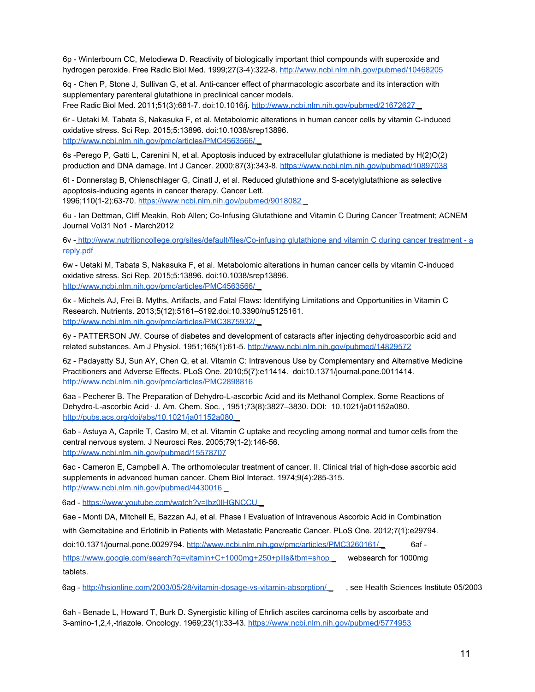6p - Winterbourn CC, Metodiewa D. Reactivity of biologically important thiol compounds with superoxide and hydrogen peroxide. Free Radic Biol Med. 1999;27(3-4):322-8. http://www.ncbi.nlm.nih.gov/pubmed/10468205

6q - Chen P, Stone J, Sullivan G, et al. Anti-cancer effect of pharmacologic ascorbate and its interaction with supplementary parenteral glutathione in preclinical cancer models.

Free Radic Biol Med. 2011;51(3):681-7. doi:10.1016/j. http://www.ncbi.nlm.nih.gov/pubmed/21672627

6r - Uetaki M, Tabata S, Nakasuka F, et al. Metabolomic alterations in human cancer cells by vitamin C-induced oxidative stress. Sci Rep. 2015;5:13896. doi:10.1038/srep13896. http://www.ncbi.nlm.nih.gov/pmc/articles/PMC4563566/ \_

6s -Perego P, Gatti L, Carenini N, et al. Apoptosis induced by extracellular glutathione is mediated by H(2)O(2) production and DNA damage. Int J Cancer. 2000;87(3):343-8. https://www.ncbi.nlm.nih.gov/pubmed/10897038

6t - Donnerstag B, Ohlenschlager G, Cinatl J, et al. Reduced glutathione and S-acetylglutathione as selective apoptosis-inducing agents in cancer therapy. Cancer Lett. 1996;110(1-2):63-70. https://www.ncbi.nlm.nih.gov/pubmed/9018082 \_

6u - Ian Dettman, Cliff Meakin, Rob Allen; Co-Infusing Glutathione and Vitamin C During Cancer Treatment; ACNEM Journal Vol31 No1 - March2012

6v - http://www.nutritioncollege.org/sites/default/files/Co-infusing glutathione and vitamin C during cancer treatment - a reply.pdf

6w - Uetaki M, Tabata S, Nakasuka F, et al. Metabolomic alterations in human cancer cells by vitamin C-induced oxidative stress. Sci Rep. 2015;5:13896. doi:10.1038/srep13896. http://www.ncbi.nlm.nih.gov/pmc/articles/PMC4563566/ \_

6x - Michels AJ, Frei B. Myths, Artifacts, and Fatal Flaws: Identifying Limitations and Opportunities in Vitamin C Research. Nutrients. 2013;5(12):5161–5192.doi:10.3390/nu5125161. http://www.ncbi.nlm.nih.gov/pmc/articles/PMC3875932/ \_

6y - PATTERSON JW. Course of diabetes and development of cataracts after injecting dehydroascorbic acid and related substances. Am J Physiol. 1951;165(1):61-5. http://www.ncbi.nlm.nih.gov/pubmed/14829572

6z - Padayatty SJ, Sun AY, Chen Q, et al. Vitamin C: Intravenous Use by Complementary and Alternative Medicine Practitioners and Adverse Effects. PLoS One. 2010;5(7):e11414. doi:10.1371/journal.pone.0011414. http://www.ncbi.nlm.nih.gov/pmc/articles/PMC2898816

6aa - Pecherer B. The Preparation of Dehydro-L-ascorbic Acid and its Methanol Complex. Some Reactions of Dehydro-L-ascorbic Acid . J. Am. Chem. Soc. , 1951;73(8):3827–3830. DOI: 10.1021/ja01152a080. http://pubs.acs.org/doi/abs/10.1021/ja01152a080

6ab - Astuya A, Caprile T, Castro M, et al. Vitamin C uptake and recycling among normal and tumor cells from the central nervous system. J Neurosci Res. 2005;79(1-2):146-56. http://www.ncbi.nlm.nih.gov/pubmed/15578707

6ac - Cameron E, Campbell A. The orthomolecular treatment of cancer. II. Clinical trial of high-dose ascorbic acid supplements in advanced human cancer. Chem Biol Interact. 1974;9(4):285-315. http://www.ncbi.nlm.nih.gov/pubmed/4430016

6ad - https://www.youtube.com/watch?v=Ibz0IHGNCCU

6ae - Monti DA, Mitchell E, Bazzan AJ, et al. Phase I Evaluation of Intravenous Ascorbic Acid in Combination

with Gemcitabine and Erlotinib in Patients with Metastatic Pancreatic Cancer. PLoS One. 2012;7(1):e29794.

doi:10.1371/journal.pone.0029794. http://www.ncbi.nlm.nih.gov/pmc/articles/PMC3260161/ 6af -

https://www.google.com/search?q=vitamin+C+1000mg+250+pills&tbm=shop \_ websearch for 1000mg tablets.

6ag - http://hsionline.com/2003/05/28/vitamin-dosage-vs-vitamin-absorption/ \_ , see Health Sciences Institute 05/2003

6ah - Benade L, Howard T, Burk D. Synergistic killing of Ehrlich ascites carcinoma cells by ascorbate and 3-amino-1,2,4,-triazole. Oncology. 1969;23(1):33-43. https://www.ncbi.nlm.nih.gov/pubmed/5774953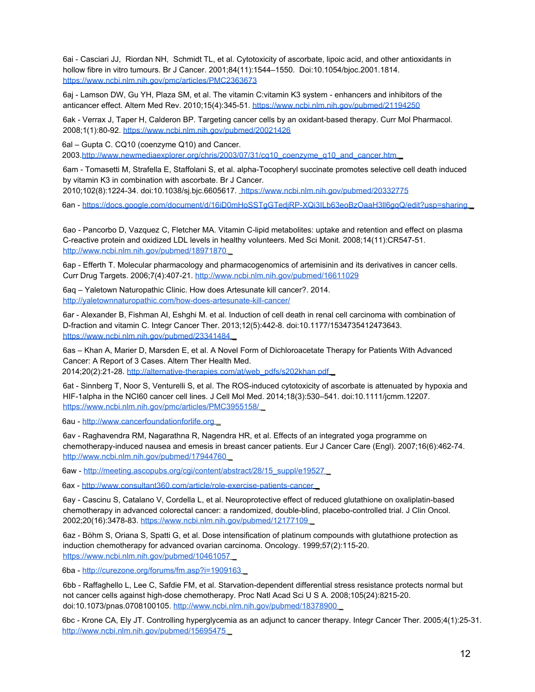6ai - Casciari JJ, Riordan NH, Schmidt TL, et al. Cytotoxicity of ascorbate, lipoic acid, and other antioxidants in hollow fibre in vitro tumours. Br J Cancer. 2001;84(11):1544–1550. Doi:10.1054/bjoc.2001.1814. https://www.ncbi.nlm.nih.gov/pmc/articles/PMC2363673

6aj - Lamson DW, Gu YH, Plaza SM, et al. The vitamin C:vitamin K3 system - enhancers and inhibitors of the anticancer effect. Altern Med Rev. 2010;15(4):345-51. https://www.ncbi.nlm.nih.gov/pubmed/21194250

6ak - Verrax J, Taper H, Calderon BP. Targeting cancer cells by an oxidant-based therapy. Curr Mol Pharmacol. 2008;1(1):80-92. https://www.ncbi.nlm.nih.gov/pubmed/20021426

6al – Gupta C. CQ10 (coenzyme Q10) and Cancer.

2003.http://www.newmediaexplorer.org/chris/2003/07/31/cq10\_coenzyme\_q10\_and\_cancer.htm \_

6am - Tomasetti M, Strafella E, Staffolani S, et al. alpha-Tocopheryl succinate promotes selective cell death induced by vitamin K3 in combination with ascorbate. Br J Cancer.

2010;102(8):1224-34. doi:10.1038/sj.bjc.6605617. https://www.ncbi.nlm.nih.gov/pubmed/20332775

6an - https://docs.google.com/document/d/16iD0mHoSSTgGTediRP-XQi3ILb63eoBzOaaH3ll6ggQ/edit?usp=sharing

6ao - Pancorbo D, Vazquez C, Fletcher MA. Vitamin C-lipid metabolites: uptake and retention and effect on plasma C-reactive protein and oxidized LDL levels in healthy volunteers. Med Sci Monit. 2008;14(11):CR547-51. http://www.ncbi.nlm.nih.gov/pubmed/18971870

6ap - Efferth T. Molecular pharmacology and pharmacogenomics of artemisinin and its derivatives in cancer cells. Curr Drug Targets. 2006;7(4):407-21. http://www.ncbi.nlm.nih.gov/pubmed/16611029

6aq – Yaletown Naturopathic Clinic. How does Artesunate kill cancer?. 2014. http://yaletownnaturopathic.com/how-does-artesunate-kill-cancer/

6ar - Alexander B, Fishman AI, Eshghi M. et al. Induction of cell death in renal cell carcinoma with combination of D-fraction and vitamin C. Integr Cancer Ther. 2013;12(5):442-8. doi:10.1177/1534735412473643. https://www.ncbi.nlm.nih.gov/pubmed/23341484 \_

6as – Khan A, Marier D, Marsden E, et al. A Novel Form of Dichloroacetate Therapy for Patients With Advanced Cancer: A Report of 3 Cases. Altern Ther Health Med.

2014;20(2):21-28. http://alternative-therapies.com/at/web\_pdfs/s202khan.pdf

6at - Sinnberg T, Noor S, Venturelli S, et al. The ROS-induced cytotoxicity of ascorbate is attenuated by hypoxia and HIF-1alpha in the NCI60 cancer cell lines. J Cell Mol Med. 2014;18(3):530–541. doi:10.1111/jcmm.12207. https://www.ncbi.nlm.nih.gov/pmc/articles/PMC3955158/

6au - http://www.cancerfoundationforlife.org \_

6av - Raghavendra RM, Nagarathna R, Nagendra HR, et al. Effects of an integrated yoga programme on chemotherapy-induced nausea and emesis in breast cancer patients. Eur J Cancer Care (Engl). 2007;16(6):462-74. http://www.ncbi.nlm.nih.gov/pubmed/17944760

6aw - http://meeting.ascopubs.org/cgi/content/abstract/28/15\_suppl/e19527\_

6ax - http://www.consultant360.com/article/role-exercise-patients-cancer

6ay - Cascinu S, Catalano V, Cordella L, et al. Neuroprotective effect of reduced glutathione on oxaliplatin-based chemotherapy in advanced colorectal cancer: a randomized, double-blind, placebo-controlled trial. J Clin Oncol. 2002;20(16):3478-83. https://www.ncbi.nlm.nih.gov/pubmed/12177109 \_

6az - Böhm S, Oriana S, Spatti G, et al. Dose intensification of platinum compounds with glutathione protection as induction chemotherapy for advanced ovarian carcinoma. Oncology. 1999;57(2):115-20. https://www.ncbi.nlm.nih.gov/pubmed/10461057

6ba - http://curezone.org/forums/fm.asp?i=1909163 \_

6bb - Raffaghello L, Lee C, Safdie FM, et al. Starvation-dependent differential stress resistance protects normal but not cancer cells against high-dose chemotherapy. Proc Natl Acad Sci U S A. 2008;105(24):8215-20. doi:10.1073/pnas.0708100105. http://www.ncbi.nlm.nih.gov/pubmed/18378900

6bc - Krone CA, Ely JT. Controlling hyperglycemia as an adjunct to cancer therapy. Integr Cancer Ther. 2005;4(1):25-31. http://www.ncbi.nlm.nih.gov/pubmed/15695475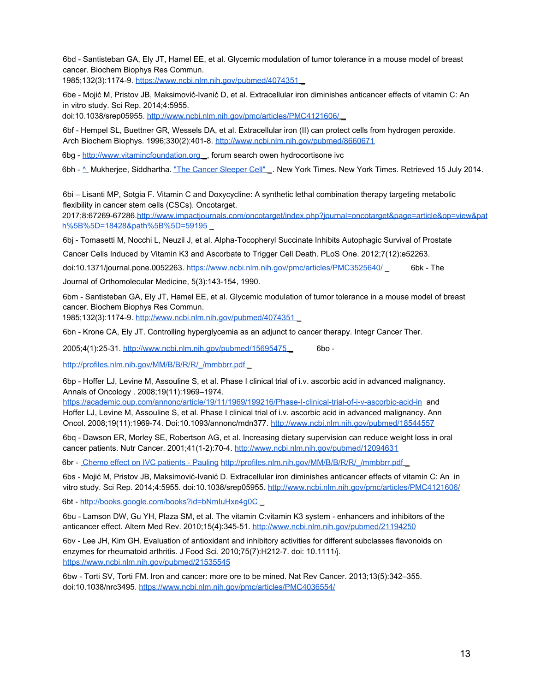6bd - Santisteban GA, Ely JT, Hamel EE, et al. Glycemic modulation of tumor tolerance in a mouse model of breast cancer. Biochem Biophys Res Commun.

1985;132(3):1174-9. https://www.ncbi.nlm.nih.gov/pubmed/4074351 \_

6be - Mojić M, Pristov JB, Maksimović-Ivanić D, et al. Extracellular iron diminishes anticancer effects of vitamin C: An in vitro study. Sci Rep. 2014;4:5955.

doi:10.1038/srep05955. http://www.ncbi.nlm.nih.gov/pmc/articles/PMC4121606/

6bf - Hempel SL, Buettner GR, Wessels DA, et al. Extracellular iron (II) can protect cells from hydrogen peroxide. Arch Biochem Biophys. 1996;330(2):401-8. http://www.ncbi.nlm.nih.gov/pubmed/8660671

6bg - http://www.vitamincfoundation.org \_, forum search owen hydrocortisone ivc

6bh - ^ Mukherjee, Siddhartha. "The Cancer Sleeper Cell" \_. New York Times. New York Times. Retrieved 15 July 2014.

6bi – Lisanti MP, Sotgia F. Vitamin C and Doxycycline: A synthetic lethal combination therapy targeting metabolic flexibility in cancer stem cells (CSCs). Oncotarget.

2017;8:67269-67286.http://www.impactjournals.com/oncotarget/index.php?journal=oncotarget&page=article&op=view&pat h%5B%5D=18428&path%5B%5D=59195 \_

6bj - Tomasetti M, Nocchi L, Neuzil J, et al. Alpha-Tocopheryl Succinate Inhibits Autophagic Survival of Prostate

Cancer Cells Induced by Vitamin K3 and Ascorbate to Trigger Cell Death. PLoS One. 2012;7(12):e52263.

doi:10.1371/journal.pone.0052263. https://www.ncbi.nlm.nih.gov/pmc/articles/PMC3525640/ \_ 6bk - The

Journal of Orthomolecular Medicine, 5(3):143-154, 1990.

6bm - Santisteban GA, Ely JT, Hamel EE, et al. Glycemic modulation of tumor tolerance in a mouse model of breast cancer. Biochem Biophys Res Commun.

1985;132(3):1174-9. http://www.ncbi.nlm.nih.gov/pubmed/4074351 \_

6bn - Krone CA, Ely JT. Controlling hyperglycemia as an adjunct to cancer therapy. Integr Cancer Ther.

2005;4(1):25-31. http://www.ncbi.nlm.nih.gov/pubmed/15695475 \_ 6bo -

http://profiles.nlm.nih.gov/MM/B/B/R/R/\_/mmbbrr.pdf

6bp - Hoffer LJ, Levine M, Assouline S, et al. Phase I clinical trial of i.v. ascorbic acid in advanced malignancy. Annals of Oncology . 2008;19(11):1969–1974.

https://academic.oup.com/annonc/article/19/11/1969/199216/Phase-I-clinical-trial-of-i-v-ascorbic-acid-in and Hoffer LJ, Levine M, Assouline S, et al. Phase I clinical trial of i.v. ascorbic acid in advanced malignancy. Ann Oncol. 2008;19(11):1969-74. Doi:10.1093/annonc/mdn377. http://www.ncbi.nlm.nih.gov/pubmed/18544557

6bq - Dawson ER, Morley SE, Robertson AG, et al. Increasing dietary supervision can reduce weight loss in oral cancer patients. Nutr Cancer. 2001;41(1-2):70-4. http://www.ncbi.nlm.nih.gov/pubmed/12094631

6br - Chemo effect on IVC patients - Pauling http://profiles.nlm.nih.gov/MM/B/B/R/R/\_/mmbbrr.pdf

6bs - Mojić M, Pristov JB, Maksimović-Ivanić D. Extracellular iron diminishes anticancer effects of vitamin C: An in vitro study. Sci Rep. 2014;4:5955. doi:10.1038/srep05955. http://www.ncbi.nlm.nih.gov/pmc/articles/PMC4121606/

6bt - http://books.google.com/books?id=bNmIuHxe4g0C \_

6bu - Lamson DW, Gu YH, Plaza SM, et al. The vitamin C:vitamin K3 system - enhancers and inhibitors of the anticancer effect. Altern Med Rev. 2010;15(4):345-51. http://www.ncbi.nlm.nih.gov/pubmed/21194250

6bv - Lee JH, Kim GH. Evaluation of antioxidant and inhibitory activities for different subclasses flavonoids on enzymes for rheumatoid arthritis. J Food Sci. 2010;75(7):H212-7. doi: 10.1111/j. https://www.ncbi.nlm.nih.gov/pubmed/21535545

6bw - Torti SV, Torti FM. Iron and cancer: more ore to be mined. Nat Rev Cancer. 2013;13(5):342–355. doi:10.1038/nrc3495. https://www.ncbi.nlm.nih.gov/pmc/articles/PMC4036554/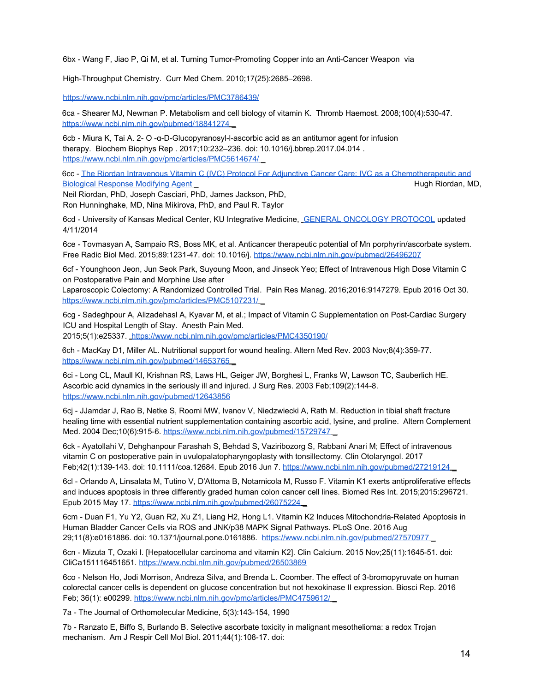6bx - Wang F, Jiao P, Qi M, et al. Turning Tumor-Promoting Copper into an Anti-Cancer Weapon via

High-Throughput Chemistry. Curr Med Chem. 2010;17(25):2685–2698.

https://www.ncbi.nlm.nih.gov/pmc/articles/PMC3786439/

6ca - Shearer MJ, Newman P. Metabolism and cell biology of vitamin K. Thromb Haemost. 2008;100(4):530-47. https://www.ncbi.nlm.nih.gov/pubmed/18841274

6cb - Miura K, Tai A. 2- O -α-D-Glucopyranosyl-l-ascorbic acid as an antitumor agent for infusion therapy. Biochem Biophys Rep . 2017;10:232–236. doi: 10.1016/j.bbrep.2017.04.014 . https://www.ncbi.nlm.nih.gov/pmc/articles/PMC5614674/

6cc - The Riordan Intravenous Vitamin C (IVC) Protocol For Adjunctive Cancer Care: IVC as a Chemotherapeutic and Biological Response Modifying Agent **Agent Access 1999** Nugaran and Agent Agent Riordan, MD,

Neil Riordan, PhD, Joseph Casciari, PhD, James Jackson, PhD, Ron Hunninghake, MD, Nina Mikirova, PhD, and Paul R. Taylor

6cd - University of Kansas Medical Center, KU Integrative Medicine, GENERAL ONCOLOGY PROTOCOL updated 4/11/2014

6ce - Tovmasyan A, Sampaio RS, Boss MK, et al. Anticancer therapeutic potential of Mn porphyrin/ascorbate system. Free Radic Biol Med. 2015;89:1231-47. doi: 10.1016/j. https://www.ncbi.nlm.nih.gov/pubmed/26496207

6cf - Younghoon Jeon, Jun Seok Park, Suyoung Moon, and Jinseok Yeo; Effect of Intravenous High Dose Vitamin C on Postoperative Pain and Morphine Use after

Laparoscopic Colectomy: A Randomized Controlled Trial. Pain Res Manag. 2016;2016:9147279. Epub 2016 Oct 30. https://www.ncbi.nlm.nih.gov/pmc/articles/PMC5107231/ \_

6cg - Sadeghpour A, Alizadehasl A, Kyavar M, et al.; Impact of Vitamin C Supplementation on Post-Cardiac Surgery ICU and Hospital Length of Stay. Anesth Pain Med.

2015;5(1):e25337. https://www.ncbi.nlm.nih.gov/pmc/articles/PMC4350190/

6ch - MacKay D1, Miller AL. Nutritional support for wound healing. Altern Med Rev. 2003 Nov;8(4):359-77. https://www.ncbi.nlm.nih.gov/pubmed/14653765

6ci - Long CL, Maull KI, Krishnan RS, Laws HL, Geiger JW, Borghesi L, Franks W, Lawson TC, Sauberlich HE. Ascorbic acid dynamics in the seriously ill and injured. J Surg Res. 2003 Feb;109(2):144-8. https://www.ncbi.nlm.nih.gov/pubmed/12643856

6cj - JJamdar J, Rao B, Netke S, Roomi MW, Ivanov V, Niedzwiecki A, Rath M. Reduction in tibial shaft fracture healing time with essential nutrient supplementation containing ascorbic acid, lysine, and proline. Altern Complement Med. 2004 Dec;10(6):915-6. https://www.ncbi.nlm.nih.gov/pubmed/15729747

6ck - Ayatollahi V, Dehghanpour Farashah S, Behdad S, Vaziribozorg S, Rabbani Anari M; Effect of intravenous vitamin C on postoperative pain in uvulopalatopharyngoplasty with tonsillectomy. Clin Otolaryngol. 2017 Feb;42(1):139-143. doi: 10.1111/coa.12684. Epub 2016 Jun 7. https://www.ncbi.nlm.nih.gov/pubmed/27219124 \_

6cl - Orlando A, Linsalata M, Tutino V, D'Attoma B, Notarnicola M, Russo F. Vitamin K1 exerts antiproliferative effects and induces apoptosis in three differently graded human colon cancer cell lines. Biomed Res Int. 2015;2015:296721. Epub 2015 May 17. https://www.ncbi.nlm.nih.gov/pubmed/26075224 \_

6cm - Duan F1, Yu Y2, Guan R2, Xu Z1, Liang H2, Hong L1. Vitamin K2 Induces Mitochondria-Related Apoptosis in Human Bladder Cancer Cells via ROS and JNK/p38 MAPK Signal Pathways. PLoS One. 2016 Aug 29;11(8):e0161886. doi: 10.1371/journal.pone.0161886. https://www.ncbi.nlm.nih.gov/pubmed/27570977 \_

6cn - Mizuta T, Ozaki I. [Hepatocellular carcinoma and vitamin K2]. Clin Calcium. 2015 Nov;25(11):1645-51. doi: CliCa151116451651. https://www.ncbi.nlm.nih.gov/pubmed/26503869

6co - Nelson Ho, Jodi Morrison, Andreza Silva, and Brenda L. Coomber. The effect of 3-bromopyruvate on human colorectal cancer cells is dependent on glucose concentration but not hexokinase II expression. Biosci Rep. 2016 Feb; 36(1): e00299. https://www.ncbi.nlm.nih.gov/pmc/articles/PMC4759612/ \_

7a - The Journal of Orthomolecular Medicine, 5(3):143-154, 1990

7b - Ranzato E, Biffo S, Burlando B. Selective ascorbate toxicity in malignant mesothelioma: a redox Trojan mechanism. Am J Respir Cell Mol Biol. 2011;44(1):108-17. doi: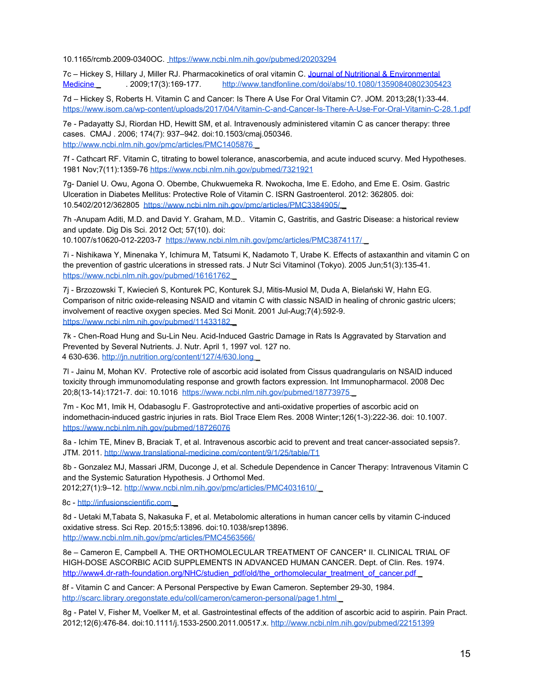10.1165/rcmb.2009-0340OC. https://www.ncbi.nlm.nih.gov/pubmed/20203294

7c – Hickey S, Hillary J, Miller RJ. Pharmacokinetics of oral vitamin C. Journal of Nutritional & Environmental Medicine 2009;17(3):169-177. http://www.tandfonline.com/doi/abs/10.1080/13590840802305423

7d – Hickey S, Roberts H. Vitamin C and Cancer: Is There A Use For Oral Vitamin C?. JOM. 2013;28(1):33-44. https://www.isom.ca/wp-content/uploads/2017/04/Vitamin-C-and-Cancer-Is-There-A-Use-For-Oral-Vitamin-C-28.1.pdf

7e - Padayatty SJ, Riordan HD, Hewitt SM, et al. Intravenously administered vitamin C as cancer therapy: three cases. CMAJ . 2006; 174(7): 937–942. doi:10.1503/cmaj.050346. http://www.ncbi.nlm.nih.gov/pmc/articles/PMC1405876 \_

7f - Cathcart RF. Vitamin C, titrating to bowel tolerance, anascorbemia, and acute induced scurvy. Med Hypotheses. 1981 Nov;7(11):1359-76 https://www.ncbi.nlm.nih.gov/pubmed/7321921

7g- Daniel U. Owu, Agona O. Obembe, Chukwuemeka R. Nwokocha, Ime E. Edoho, and Eme E. Osim. Gastric Ulceration in Diabetes Mellitus: Protective Role of Vitamin C. ISRN Gastroenterol. 2012: 362805. doi: 10.5402/2012/362805 https://www.ncbi.nlm.nih.gov/pmc/articles/PMC3384905/ \_

7h -Anupam Aditi, M.D. and David Y. Graham, M.D.. Vitamin C, Gastritis, and Gastric Disease: a historical review and update. Dig Dis Sci. 2012 Oct; 57(10). doi:

10.1007/s10620-012-2203-7 https://www.ncbi.nlm.nih.gov/pmc/articles/PMC3874117/ \_

7i - Nishikawa Y, Minenaka Y, Ichimura M, Tatsumi K, Nadamoto T, Urabe K. Effects of astaxanthin and vitamin C on the prevention of gastric ulcerations in stressed rats. J Nutr Sci Vitaminol (Tokyo). 2005 Jun;51(3):135-41. https://www.ncbi.nlm.nih.gov/pubmed/16161762

7j - Brzozowski T, Kwiecień S, Konturek PC, Konturek SJ, Mitis-Musiol M, Duda A, Bielański W, Hahn EG. Comparison of nitric oxide-releasing NSAID and vitamin C with classic NSAID in healing of chronic gastric ulcers; involvement of reactive oxygen species. Med Sci Monit. 2001 Jul-Aug;7(4):592-9. https://www.ncbi.nlm.nih.gov/pubmed/11433182

7k - Chen-Road Hung and Su-Lin Neu. Acid-Induced Gastric Damage in Rats Is Aggravated by Starvation and Prevented by Several Nutrients. J. Nutr. April 1, 1997 vol. 127 no. 4 630-636. http://jn.nutrition.org/content/127/4/630.long \_

7l - Jainu M, Mohan KV. Protective role of ascorbic acid isolated from Cissus quadrangularis on NSAID induced toxicity through immunomodulating response and growth factors expression. Int Immunopharmacol. 2008 Dec 20;8(13-14):1721-7. doi: 10.1016 https://www.ncbi.nlm.nih.gov/pubmed/18773975 \_

7m - Koc M1, Imik H, Odabasoglu F. Gastroprotective and anti-oxidative properties of ascorbic acid on indomethacin-induced gastric injuries in rats. Biol Trace Elem Res. 2008 Winter;126(1-3):222-36. doi: 10.1007. https://www.ncbi.nlm.nih.gov/pubmed/18726076

8a - Ichim TE, Minev B, Braciak T, et al. Intravenous ascorbic acid to prevent and treat cancer-associated sepsis?. JTM. 2011. http://www.translational-medicine.com/content/9/1/25/table/T1

8b - Gonzalez MJ, Massari JRM, Duconge J, et al. Schedule Dependence in Cancer Therapy: Intravenous Vitamin C and the Systemic Saturation Hypothesis. J Orthomol Med.

2012;27(1):9–12. http://www.ncbi.nlm.nih.gov/pmc/articles/PMC4031610/ \_

8c - http://infusionscientific.com \_

8d - Uetaki M,Tabata S, Nakasuka F, et al. Metabolomic alterations in human cancer cells by vitamin C-induced oxidative stress. Sci Rep. 2015;5:13896. doi:10.1038/srep13896. http://www.ncbi.nlm.nih.gov/pmc/articles/PMC4563566/

8e – Cameron E, Campbell A. THE ORTHOMOLECULAR TREATMENT OF CANCER\* II. CLINICAL TRIAL OF HIGH-DOSE ASCORBIC ACID SUPPLEMENTS IN ADVANCED HUMAN CANCER. Dept. of Clin. Res. 1974. http://www4.dr-rath-foundation.org/NHC/studien\_pdf/old/the\_orthomolecular\_treatment\_of\_cancer.pdf

8f - Vitamin C and Cancer: A Personal Perspective by Ewan Cameron. September 29-30, 1984. http://scarc.library.oregonstate.edu/coll/cameron/cameron-personal/page1.html \_

8g - Patel V, Fisher M, Voelker M, et al. Gastrointestinal effects of the addition of ascorbic acid to aspirin. Pain Pract. 2012;12(6):476-84. doi:10.1111/j.1533-2500.2011.00517.x. http://www.ncbi.nlm.nih.gov/pubmed/22151399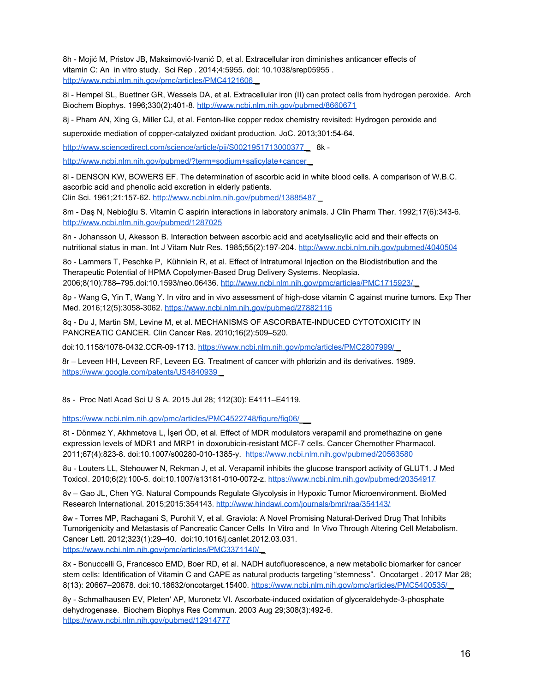8h - Mojić M, Pristov JB, Maksimović-Ivanić D, et al. Extracellular iron diminishes anticancer effects of vitamin C: An in vitro study. Sci Rep . 2014;4:5955. doi: 10.1038/srep05955 . http://www.ncbi.nlm.nih.gov/pmc/articles/PMC4121606

8i - Hempel SL, Buettner GR, Wessels DA, et al. Extracellular iron (II) can protect cells from hydrogen peroxide. Arch Biochem Biophys. 1996;330(2):401-8. http://www.ncbi.nlm.nih.gov/pubmed/8660671

8j - Pham AN, Xing G, Miller CJ, et al. Fenton-like copper redox chemistry revisited: Hydrogen peroxide and

superoxide mediation of copper-catalyzed oxidant production. JoC. 2013;301:54-64.

http://www.sciencedirect.com/science/article/pii/S0021951713000377 \_ 8k -

http://www.ncbi.nlm.nih.gov/pubmed/?term=sodium+salicylate+cancer

8l - DENSON KW, BOWERS EF. The determination of ascorbic acid in white blood cells. A comparison of W.B.C. ascorbic acid and phenolic acid excretion in elderly patients.

Clin Sci. 1961;21:157-62. http://www.ncbi.nlm.nih.gov/pubmed/13885487 \_

8m - Daş N, Nebioğlu S. Vitamin C aspirin interactions in laboratory animals. J Clin Pharm Ther. 1992;17(6):343-6. http://www.ncbi.nlm.nih.gov/pubmed/1287025

8n - Johansson U, Akesson B. Interaction between ascorbic acid and acetylsalicylic acid and their effects on nutritional status in man. Int J Vitam Nutr Res. 1985;55(2):197-204. http://www.ncbi.nlm.nih.gov/pubmed/4040504

8o - Lammers T, Peschke P, Kühnlein R, et al. Effect of Intratumoral Injection on the Biodistribution and the Therapeutic Potential of HPMA Copolymer-Based Drug Delivery Systems. Neoplasia. 2006;8(10):788–795.doi:10.1593/neo.06436. http://www.ncbi.nlm.nih.gov/pmc/articles/PMC1715923/ \_

8p - Wang G, Yin T, Wang Y. In vitro and in vivo assessment of high-dose vitamin C against murine tumors. Exp Ther Med. 2016;12(5):3058-3062. https://www.ncbi.nlm.nih.gov/pubmed/27882116

8q - Du J, Martin SM, Levine M, et al. MECHANISMS OF ASCORBATE-INDUCED CYTOTOXICITY IN PANCREATIC CANCER. Clin Cancer Res. 2010;16(2):509–520.

doi:10.1158/1078-0432.CCR-09-1713. https://www.ncbi.nlm.nih.gov/pmc/articles/PMC2807999/ \_

8r – Leveen HH, Leveen RF, Leveen EG. Treatment of cancer with phlorizin and its derivatives. 1989. https://www.google.com/patents/US4840939

8s - Proc Natl Acad Sci U S A. 2015 Jul 28; 112(30): E4111–E4119.

https://www.ncbi.nlm.nih.gov/pmc/articles/PMC4522748/figure/fig06/

8t - Dönmez Y, Akhmetova L, İşeri ÖD, et al. Effect of MDR modulators verapamil and promethazine on gene expression levels of MDR1 and MRP1 in doxorubicin-resistant MCF-7 cells. Cancer Chemother Pharmacol. 2011;67(4):823-8. doi:10.1007/s00280-010-1385-y. https://www.ncbi.nlm.nih.gov/pubmed/20563580

8u - Louters LL, Stehouwer N, Rekman J, et al. Verapamil inhibits the glucose transport activity of GLUT1. J Med Toxicol. 2010;6(2):100-5. doi:10.1007/s13181-010-0072-z. https://www.ncbi.nlm.nih.gov/pubmed/20354917

8v – Gao JL, Chen YG. Natural Compounds Regulate Glycolysis in Hypoxic Tumor Microenvironment. BioMed Research International. 2015;2015:354143. http://www.hindawi.com/journals/bmri/raa/354143/

8w - Torres MP, Rachagani S, Purohit V, et al. Graviola: A Novel Promising Natural-Derived Drug That Inhibits Tumorigenicity and Metastasis of Pancreatic Cancer Cells In Vitro and In Vivo Through Altering Cell Metabolism. Cancer Lett. 2012;323(1):29–40. doi:10.1016/j.canlet.2012.03.031. https://www.ncbi.nlm.nih.gov/pmc/articles/PMC3371140/ \_

8x - Bonuccelli G, Francesco EMD, Boer RD, et al. NADH autofluorescence, a new metabolic biomarker for cancer stem cells: Identification of Vitamin C and CAPE as natural products targeting "stemness". Oncotarget . 2017 Mar 28; 8(13): 20667–20678. doi:10.18632/oncotarget.15400. https://www.ncbi.nlm.nih.gov/pmc/articles/PMC5400535/ \_

8y - Schmalhausen EV, Pleten' AP, Muronetz VI. Ascorbate-induced oxidation of glyceraldehyde-3-phosphate dehydrogenase. Biochem Biophys Res Commun. 2003 Aug 29;308(3):492-6. https://www.ncbi.nlm.nih.gov/pubmed/12914777